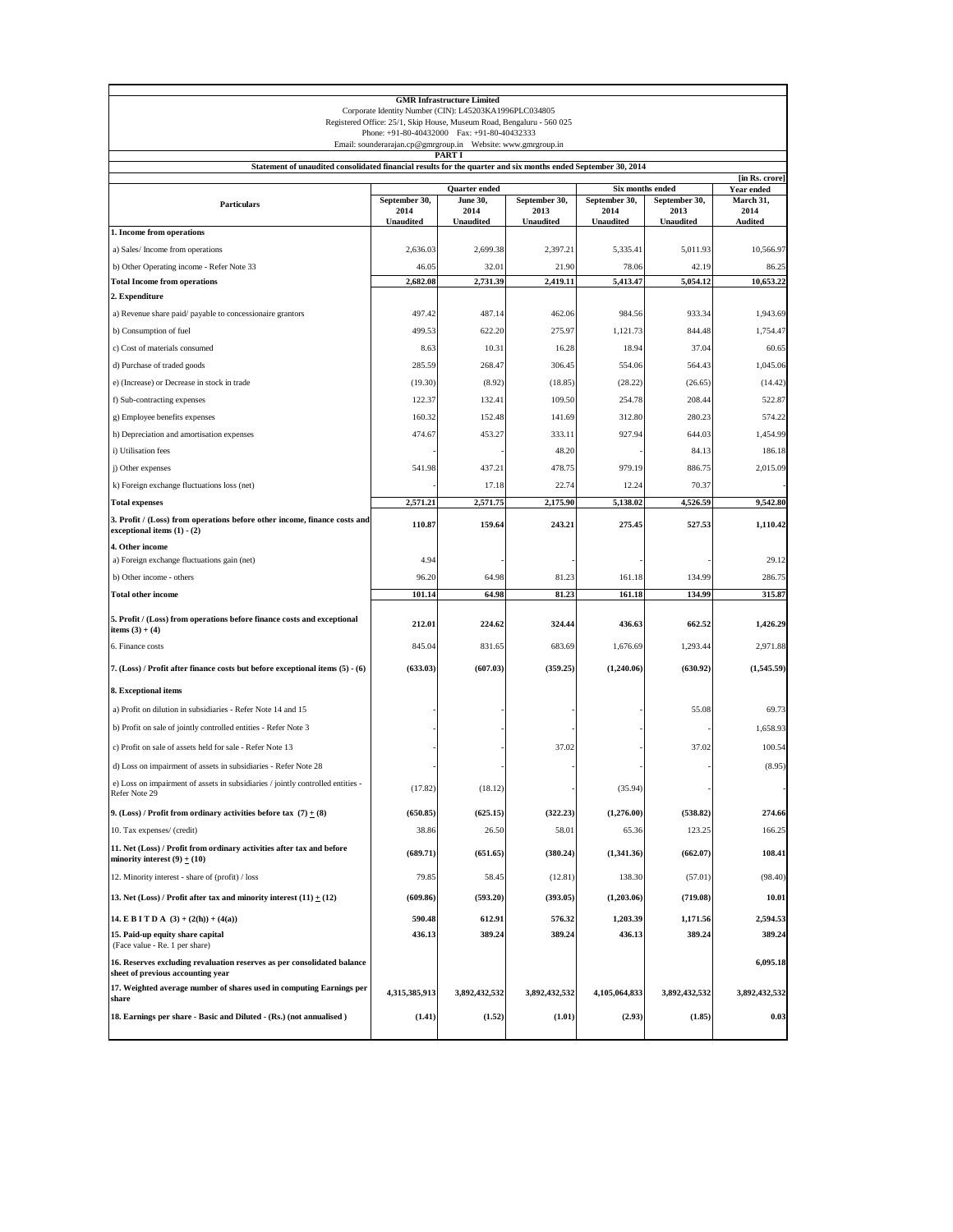| <b>GMR Infrastructure Limited</b><br>Corporate Identity Number (CIN): L45203KA1996PLC034805<br>Registered Office: 25/1, Skip House, Museum Road, Bengaluru - 560 025<br>Phone: +91-80-40432000 Fax: +91-80-40432333 |                   |                          |                          |                          |                   |                              |  |
|---------------------------------------------------------------------------------------------------------------------------------------------------------------------------------------------------------------------|-------------------|--------------------------|--------------------------|--------------------------|-------------------|------------------------------|--|
|                                                                                                                                                                                                                     |                   | PART I                   |                          |                          |                   |                              |  |
| Statement of unaudited consolidated financial results for the quarter and six months ended September 30, 2014                                                                                                       |                   |                          |                          |                          |                   |                              |  |
|                                                                                                                                                                                                                     |                   | Quarter ended            |                          |                          | Six months ended  | [in Rs. crore]<br>Year ended |  |
| <b>Particulars</b>                                                                                                                                                                                                  | September 30,     | June 30,                 | September 30,            | September 30,            | September 30,     | March 31,                    |  |
|                                                                                                                                                                                                                     | 2014<br>Unaudited | 2014<br><b>Unaudited</b> | 2013<br><b>Unaudited</b> | 2014<br><b>Unaudited</b> | 2013<br>Unaudited | 2014<br>Audited              |  |
| 1. Income from operations                                                                                                                                                                                           |                   |                          |                          |                          |                   |                              |  |
| a) Sales/Income from operations                                                                                                                                                                                     | 2,636.03          | 2,699.38                 | 2,397.21                 | 5,335.41                 | 5,011.93          | 10,566.97                    |  |
| b) Other Operating income - Refer Note 33                                                                                                                                                                           | 46.05             | 32.01                    | 21.90                    | 78.06                    | 42.19             | 86.25                        |  |
| <b>Total Income from operations</b>                                                                                                                                                                                 | 2,682.08          | 2,731.39                 | 2,419.11                 | 5,413.47                 | 5,054.12          | 10,653.22                    |  |
| 2. Expenditure<br>a) Revenue share paid/payable to concessionaire grantors                                                                                                                                          | 497.42            | 487.14                   | 462.06                   | 984.56                   | 933.34            | 1,943.69                     |  |
| b) Consumption of fuel                                                                                                                                                                                              | 499.53            | 622.20                   | 275.97                   | 1,121.73                 | 844.48            | 1,754.47                     |  |
| c) Cost of materials consumed                                                                                                                                                                                       | 8.63              | 10.31                    | 16.28                    | 18.94                    | 37.04             | 60.65                        |  |
| d) Purchase of traded goods                                                                                                                                                                                         | 285.59            | 268.47                   | 306.45                   | 554.06                   | 564.43            | 1,045.06                     |  |
| e) (Increase) or Decrease in stock in trade                                                                                                                                                                         | (19.30)           | (8.92)                   | (18.85)                  | (28.22)                  | (26.65)           | (14.42)                      |  |
| f) Sub-contracting expenses                                                                                                                                                                                         | 122.37            | 132.41                   | 109.50                   | 254.78                   | 208.44            | 522.87                       |  |
| g) Employee benefits expenses                                                                                                                                                                                       | 160.32            | 152.48                   | 141.69                   | 312.80                   | 280.23            | 574.22                       |  |
| h) Depreciation and amortisation expenses                                                                                                                                                                           | 474.67            | 453.27                   | 333.11                   | 927.94                   | 644.03            | 1,454.99                     |  |
| i) Utilisation fees                                                                                                                                                                                                 |                   |                          | 48.20                    |                          | 84.13             | 186.18                       |  |
| j) Other expenses                                                                                                                                                                                                   | 541.98            | 437.21                   | 478.75                   | 979.19                   | 886.75            | 2,015.09                     |  |
| k) Foreign exchange fluctuations loss (net)                                                                                                                                                                         |                   | 17.18                    | 22.74                    | 12.24                    | 70.37             |                              |  |
| <b>Total expenses</b>                                                                                                                                                                                               | 2,571.21          | 2,571.75                 | 2,175.90                 | 5,138.02                 | 4.526.59          | 9,542.80                     |  |
| 3. Profit / (Loss) from operations before other income, finance costs and<br>exceptional items $(1) - (2)$                                                                                                          | 110.87            | 159.64                   | 243.21                   | 275.45                   | 527.53            | 1,110.42                     |  |
| 4. Other income                                                                                                                                                                                                     |                   |                          |                          |                          |                   |                              |  |
| a) Foreign exchange fluctuations gain (net)                                                                                                                                                                         | 4.94              |                          |                          |                          |                   | 29.12                        |  |
| b) Other income - others                                                                                                                                                                                            | 96.20             | 64.98                    | 81.23                    | 161.18                   | 134.99            | 286.75                       |  |
| <b>Total other income</b>                                                                                                                                                                                           | 101.14            | 64.98                    | 81.23                    | 161.18                   | 134.99            | 315.87                       |  |
| 5. Profit / (Loss) from operations before finance costs and exceptional<br>items $(3) + (4)$                                                                                                                        | 212.01            | 224.62                   | 324.44                   | 436.63                   | 662.52            | 1,426.29                     |  |
| 6. Finance costs                                                                                                                                                                                                    | 845.04            | 831.65                   | 683.69                   | 1,676.69                 | 1,293.44          | 2,971.88                     |  |
| 7. (Loss) / Profit after finance costs but before exceptional items (5) - (6)                                                                                                                                       | (633.03)          | (607.03)                 | (359.25)                 | (1,240.06)               | (630.92)          | (1,545.59)                   |  |
| 8. Exceptional items                                                                                                                                                                                                |                   |                          |                          |                          |                   |                              |  |
| a) Profit on dilution in subsidiaries - Refer Note 14 and 15                                                                                                                                                        |                   |                          |                          |                          | 55.08             | 69.73                        |  |
| b) Profit on sale of jointly controlled entities - Refer Note 3                                                                                                                                                     |                   |                          |                          |                          |                   | 1,658.93                     |  |
| c) Profit on sale of assets held for sale - Refer Note 13                                                                                                                                                           |                   |                          | 37.02                    |                          | 37.02             | 100.54                       |  |
| d) Loss on impairment of assets in subsidiaries - Refer Note 28                                                                                                                                                     |                   |                          |                          |                          |                   | (8.95)                       |  |
| e) Loss on impairment of assets in subsidiaries / jointly controlled entities<br>Refer Note 29                                                                                                                      | (17.82)           | (18.12)                  |                          | (35.94)                  |                   |                              |  |
| 9. (Loss) / Profit from ordinary activities before tax $(7) + (8)$                                                                                                                                                  | (650.85)          | (625.15)                 | (322.23)                 | (1,276.00)               | (538.82)          | 274.66                       |  |
| 10. Tax expenses/ (credit)                                                                                                                                                                                          | 38.86             | 26.50                    | 58.01                    | 65.36                    | 123.25            | 166.25                       |  |
| 11. Net (Loss) / Profit from ordinary activities after tax and before<br>minority interest $(9) \pm (10)$                                                                                                           | (689.71)          | (651.65)                 | (380.24)                 | (1,341.36)               | (662.07)          | 108.41                       |  |
| 12. Minority interest - share of (profit) / loss                                                                                                                                                                    | 79.85             | 58.45                    | (12.81)                  | 138.30                   | (57.01)           | (98.40)                      |  |
| 13. Net (Loss) / Profit after tax and minority interest (11) $\pm$ (12)                                                                                                                                             | (609.86)          | (593.20)                 | (393.05)                 | (1,203.06)               | (719.08)          | 10.01                        |  |
| 14. E B I T D A $(3) + (2(h)) + (4(a))$                                                                                                                                                                             | 590.48            | 612.91                   | 576.32                   | 1,203.39                 | 1,171.56          | 2,594.53                     |  |
| 15. Paid-up equity share capital<br>(Face value - Re. 1 per share)                                                                                                                                                  | 436.13            | 389.24                   | 389.24                   | 436.13                   | 389.24            | 389.24                       |  |
| 16. Reserves excluding revaluation reserves as per consolidated balance<br>sheet of previous accounting year                                                                                                        |                   |                          |                          |                          |                   | 6,095.18                     |  |
| 17. Weighted average number of shares used in computing Earnings per<br>share                                                                                                                                       | 4,315,385,913     | 3,892,432,532            | 3,892,432,532            | 4,105,064,833            | 3,892,432,532     | 3,892,432,532                |  |
| 18. Earnings per share - Basic and Diluted - (Rs.) (not annualised)                                                                                                                                                 | (1.41)            | (1.52)                   | (1.01)                   | (2.93)                   | (1.85)            | 0.03                         |  |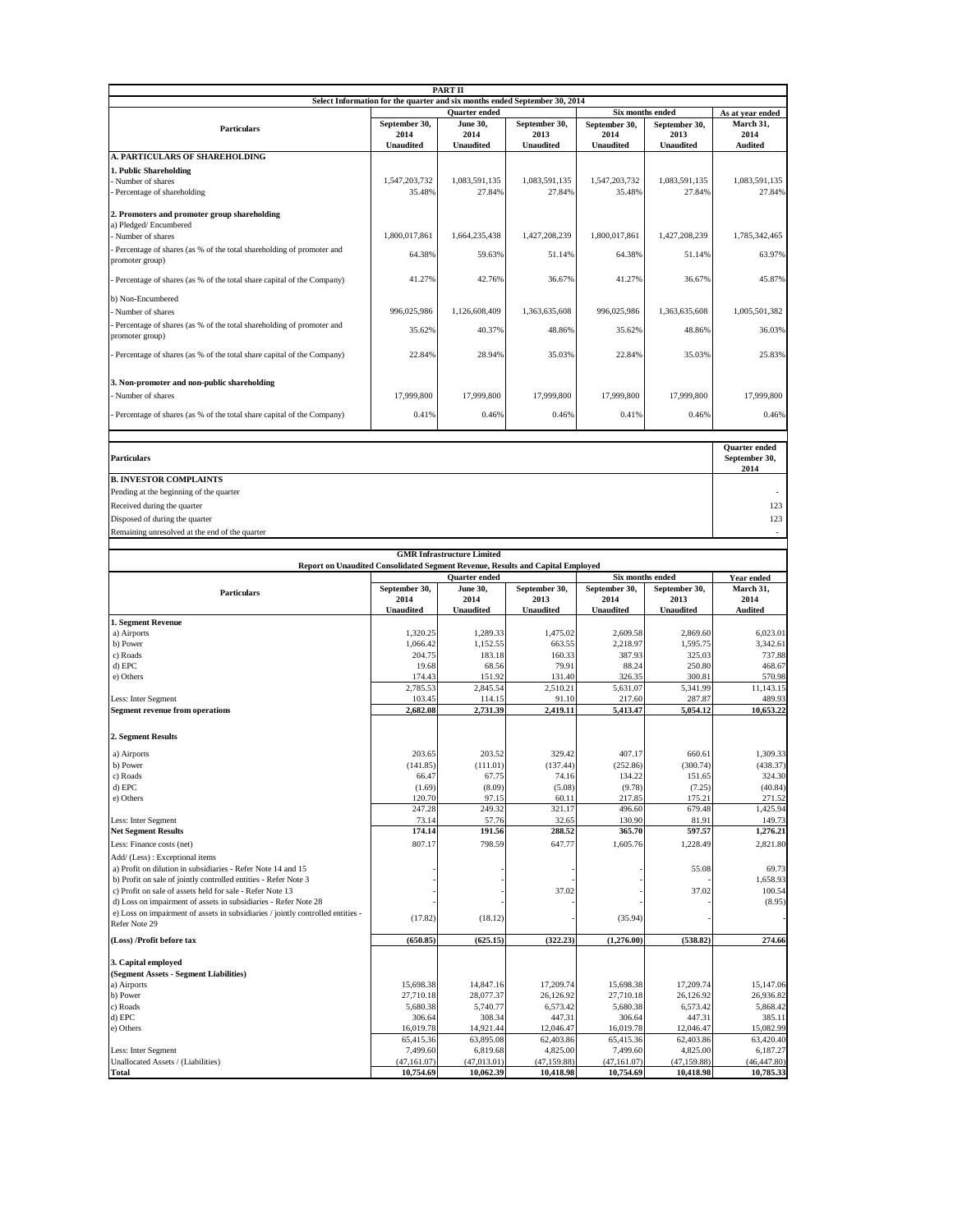|                                                                                                                                                    |                          | PART II                           |                                                                            |                          |                               |                                                                                                                                                                                |
|----------------------------------------------------------------------------------------------------------------------------------------------------|--------------------------|-----------------------------------|----------------------------------------------------------------------------|--------------------------|-------------------------------|--------------------------------------------------------------------------------------------------------------------------------------------------------------------------------|
|                                                                                                                                                    |                          |                                   | Select Information for the quarter and six months ended September 30, 2014 |                          |                               |                                                                                                                                                                                |
|                                                                                                                                                    |                          | Quarter ended                     |                                                                            | Six months ended         | As at year ended<br>March 31, |                                                                                                                                                                                |
| <b>Particulars</b>                                                                                                                                 | September 30,<br>2014    | <b>June 30,</b><br>2014           | September 30,<br>2013                                                      | September 30,<br>2014    | September 30,<br>2013         | 2014                                                                                                                                                                           |
|                                                                                                                                                    | <b>Unaudited</b>         | <b>Unaudited</b>                  | <b>Unaudited</b>                                                           | <b>Unaudited</b>         | <b>Unaudited</b>              | <b>Audited</b>                                                                                                                                                                 |
| <b>A. PARTICULARS OF SHAREHOLDING</b>                                                                                                              |                          |                                   |                                                                            |                          |                               |                                                                                                                                                                                |
| 1. Public Shareholding<br>Number of shares                                                                                                         | 1,547,203,732            | 1.083.591.135                     | 1,083,591,135                                                              | 1,547,203,732            | 1,083,591,135                 | 1,083,591,135                                                                                                                                                                  |
| Percentage of shareholding                                                                                                                         | 35.48%                   | 27.84%                            | 27.84%                                                                     | 35.48%                   | 27.84%                        | 27.84%                                                                                                                                                                         |
|                                                                                                                                                    |                          |                                   |                                                                            |                          |                               |                                                                                                                                                                                |
| 2. Promoters and promoter group shareholding<br>a) Pledged/Encumbered                                                                              |                          |                                   |                                                                            |                          |                               |                                                                                                                                                                                |
| Number of shares                                                                                                                                   | 1,800,017,861            | 1,664,235,438                     | 1,427,208,239                                                              | 1,800,017,861            | 1,427,208,239                 | 1,785,342,465                                                                                                                                                                  |
| Percentage of shares (as % of the total shareholding of promoter and                                                                               |                          |                                   |                                                                            |                          |                               | 63.97%                                                                                                                                                                         |
| promoter group)                                                                                                                                    | 64.38%                   | 59.63%                            | 51.14%                                                                     | 64.38%                   | 51.14%                        |                                                                                                                                                                                |
| Percentage of shares (as % of the total share capital of the Company)                                                                              | 41.27%                   | 42.76%                            | 36.67%                                                                     | 41.27%                   | 36.67%                        | 45.87%                                                                                                                                                                         |
| b) Non-Encumbered                                                                                                                                  |                          |                                   |                                                                            |                          |                               |                                                                                                                                                                                |
| Number of shares                                                                                                                                   | 996,025,986              | 1,126,608,409                     | 1,363,635,608                                                              | 996,025,986              | 1,363,635,608                 | 1,005,501,382                                                                                                                                                                  |
| Percentage of shares (as % of the total shareholding of promoter and                                                                               |                          |                                   |                                                                            |                          |                               |                                                                                                                                                                                |
| promoter group)                                                                                                                                    | 35.62%                   | 40.37%                            | 48.86%                                                                     | 35.62%                   | 48.86%                        | 36.03%                                                                                                                                                                         |
| Percentage of shares (as % of the total share capital of the Company)                                                                              | 22.84%                   | 28.94%                            | 35.03%                                                                     | 22.84%                   | 35.03%                        | 25.83%                                                                                                                                                                         |
|                                                                                                                                                    |                          |                                   |                                                                            |                          |                               |                                                                                                                                                                                |
| 3. Non-promoter and non-public shareholding                                                                                                        |                          |                                   |                                                                            |                          |                               |                                                                                                                                                                                |
| Number of shares                                                                                                                                   | 17,999,800               | 17,999,800                        | 17,999,800                                                                 | 17,999,800               | 17,999,800                    | 17,999,800                                                                                                                                                                     |
| Percentage of shares (as % of the total share capital of the Company)                                                                              | 0.41%                    | 0.46%                             | 0.46%                                                                      | 0.41%                    | 0.46%                         | 0.46%                                                                                                                                                                          |
|                                                                                                                                                    |                          |                                   |                                                                            |                          |                               |                                                                                                                                                                                |
|                                                                                                                                                    |                          |                                   |                                                                            |                          |                               |                                                                                                                                                                                |
| Particulars                                                                                                                                        |                          |                                   |                                                                            |                          |                               | Quarter ended<br>September 30,                                                                                                                                                 |
|                                                                                                                                                    |                          |                                   |                                                                            |                          |                               | 2014                                                                                                                                                                           |
| <b>B. INVESTOR COMPLAINTS</b>                                                                                                                      |                          |                                   |                                                                            |                          |                               |                                                                                                                                                                                |
| Pending at the beginning of the quarter                                                                                                            |                          |                                   |                                                                            |                          |                               |                                                                                                                                                                                |
| Received during the quarter                                                                                                                        |                          |                                   |                                                                            |                          |                               | 123                                                                                                                                                                            |
| Disposed of during the quarter                                                                                                                     |                          |                                   |                                                                            |                          |                               | 123                                                                                                                                                                            |
| Remaining unresolved at the end of the quarter                                                                                                     |                          |                                   |                                                                            |                          |                               |                                                                                                                                                                                |
|                                                                                                                                                    |                          | <b>GMR Infrastructure Limited</b> |                                                                            |                          |                               |                                                                                                                                                                                |
| Report on Unaudited Consolidated Segment Revenue, Results and Capital Employed                                                                     |                          |                                   |                                                                            |                          |                               |                                                                                                                                                                                |
| <b>Quarter</b> ended<br>Six months ended                                                                                                           |                          |                                   |                                                                            |                          |                               |                                                                                                                                                                                |
|                                                                                                                                                    |                          |                                   |                                                                            |                          |                               | Year ended                                                                                                                                                                     |
| <b>Particulars</b>                                                                                                                                 | September 30,<br>2014    | June 30,<br>2014                  | September 30,<br>2013                                                      | September 30,<br>2014    | September 30,<br>2013         | March 31,<br>2014                                                                                                                                                              |
|                                                                                                                                                    | <b>Unaudited</b>         | <b>Unaudited</b>                  | <b>Unaudited</b>                                                           | <b>Unaudited</b>         | <b>Unaudited</b>              | <b>Audited</b>                                                                                                                                                                 |
| 1. Segment Revenue                                                                                                                                 |                          |                                   |                                                                            |                          |                               |                                                                                                                                                                                |
| a) Airports<br>b) Power                                                                                                                            | 1,320.25<br>1,066.42     | 1,289.33<br>1,152.55              | 1,475.02<br>663.55                                                         | 2,609.58<br>2,218.97     | 2,869.60<br>1,595.75          | 6,023.01<br>3,342.61                                                                                                                                                           |
| c) Roads                                                                                                                                           | 204.75                   | 183.18                            | 160.33                                                                     | 387.93                   | 325.03                        | 737.88                                                                                                                                                                         |
| d) EPC                                                                                                                                             | 19.68                    | 68.56                             | 79.91                                                                      | 88.24                    | 250.80                        | 468.67                                                                                                                                                                         |
| e) Others                                                                                                                                          | 174.43<br>2,785.53       | 151.92<br>2,845.54                | 131.40<br>2,510.21                                                         | 326.35<br>5,631.07       | 300.81<br>5,341.99            | 570.98                                                                                                                                                                         |
| Less: Inter Segment                                                                                                                                | 103.45                   | 114.15                            | 91.10                                                                      | 217.60                   | 287.87                        |                                                                                                                                                                                |
| <b>Segment revenue from operations</b>                                                                                                             | 2,682.08                 | 2,731.39                          | 2,419.11                                                                   | 5.413.47                 | 5,054.12                      |                                                                                                                                                                                |
|                                                                                                                                                    |                          |                                   |                                                                            |                          |                               |                                                                                                                                                                                |
| 2. Segment Results                                                                                                                                 |                          |                                   |                                                                            |                          |                               |                                                                                                                                                                                |
| a) Airports                                                                                                                                        | 203.65                   | 203.52                            | 329.42                                                                     | 407.17                   | 660.61                        |                                                                                                                                                                                |
| b) Power                                                                                                                                           | (141.85)                 | (111.01)                          | (137.44)                                                                   | (252.86)                 | (300.74)                      |                                                                                                                                                                                |
| c) Roads<br>d) EPC                                                                                                                                 | 66.47<br>(1.69)          | 67.75<br>(8.09)                   | 74.16<br>(5.08)                                                            | 134.22<br>(9.78)         | 151.65<br>(7.25)              |                                                                                                                                                                                |
| e) Others                                                                                                                                          | 120.70                   | 97.15                             | 60.11                                                                      | 217.85                   | 175.21                        |                                                                                                                                                                                |
|                                                                                                                                                    | 247.28                   | 249.32                            | 321.17                                                                     | 496.60                   | 679.48                        |                                                                                                                                                                                |
| Less: Inter Segment<br><b>Net Segment Results</b>                                                                                                  | 73.14<br>174.14          | 57.76<br>191.56                   | 32.65<br>288.52                                                            | 130.90<br>365.70         | 81.91<br>597.57               |                                                                                                                                                                                |
| Less: Finance costs (net)                                                                                                                          | 807.17                   | 798.59                            | 647.77                                                                     | 1,605.76                 | 1,228.49                      |                                                                                                                                                                                |
| Add/ (Less) : Exceptional items                                                                                                                    |                          |                                   |                                                                            |                          |                               |                                                                                                                                                                                |
| a) Profit on dilution in subsidiaries - Refer Note 14 and 15                                                                                       |                          |                                   |                                                                            |                          | 55.08                         |                                                                                                                                                                                |
| b) Profit on sale of jointly controlled entities - Refer Note 3                                                                                    |                          |                                   |                                                                            |                          |                               |                                                                                                                                                                                |
| c) Profit on sale of assets held for sale - Refer Note 13                                                                                          |                          |                                   | 37.02                                                                      |                          | 37.02                         |                                                                                                                                                                                |
| d) Loss on impairment of assets in subsidiaries - Refer Note 28<br>e) Loss on impairment of assets in subsidiaries / jointly controlled entities - |                          |                                   |                                                                            |                          |                               | 11,143.15<br>489.93<br>10,653.22<br>1,309.33<br>(438.37)<br>324.30<br>(40.84)<br>271.52<br>1,425.94<br>149.73<br>1,276.21<br>2,821.80<br>69.73<br>1,658.93<br>100.54<br>(8.95) |
| Refer Note 29                                                                                                                                      | (17.82)                  | (18.12)                           |                                                                            | (35.94)                  |                               |                                                                                                                                                                                |
| (Loss) /Profit before tax                                                                                                                          | (650.85)                 | (625.15)                          | (322.23)                                                                   | (1,276.00)               | (538.82)                      |                                                                                                                                                                                |
|                                                                                                                                                    |                          |                                   |                                                                            |                          |                               | 274.66                                                                                                                                                                         |
| 3. Capital employed<br>(Segment Assets - Segment Liabilities)                                                                                      |                          |                                   |                                                                            |                          |                               |                                                                                                                                                                                |
| a) Airports                                                                                                                                        | 15,698.38                | 14,847.16                         | 17,209.74                                                                  | 15,698.38                | 17,209.74                     | 15,147.06                                                                                                                                                                      |
| b) Power                                                                                                                                           | 27,710.18                | 28,077.37                         | 26,126.92                                                                  | 27,710.18                | 26,126.92                     | 26,936.82                                                                                                                                                                      |
| c) Roads                                                                                                                                           | 5,680.38                 | 5,740.77                          | 6,573.42                                                                   | 5,680.38                 | 6,573.42                      | 5,868.42                                                                                                                                                                       |
| d) EPC<br>e) Others                                                                                                                                | 306.64<br>16,019.78      | 308.34<br>14,921.44               | 447.31<br>12,046.47                                                        | 306.64<br>16,019.78      | 447.31<br>12,046.47           | 385.11<br>15,082.99                                                                                                                                                            |
|                                                                                                                                                    | 65,415.36                | 63,895.08                         | 62,403.86                                                                  | 65,415.36                | 62,403.86                     | 63,420.40                                                                                                                                                                      |
| Less: Inter Segment<br>Unallocated Assets / (Liabilities)                                                                                          | 7,499.60<br>(47, 161.07) | 6,819.68<br>(47, 013.01)          | 4,825.00<br>(47, 159.88)                                                   | 7,499.60<br>(47, 161.07) | 4,825.00<br>(47, 159.88)      | 6,187.27<br>(46, 447.80)                                                                                                                                                       |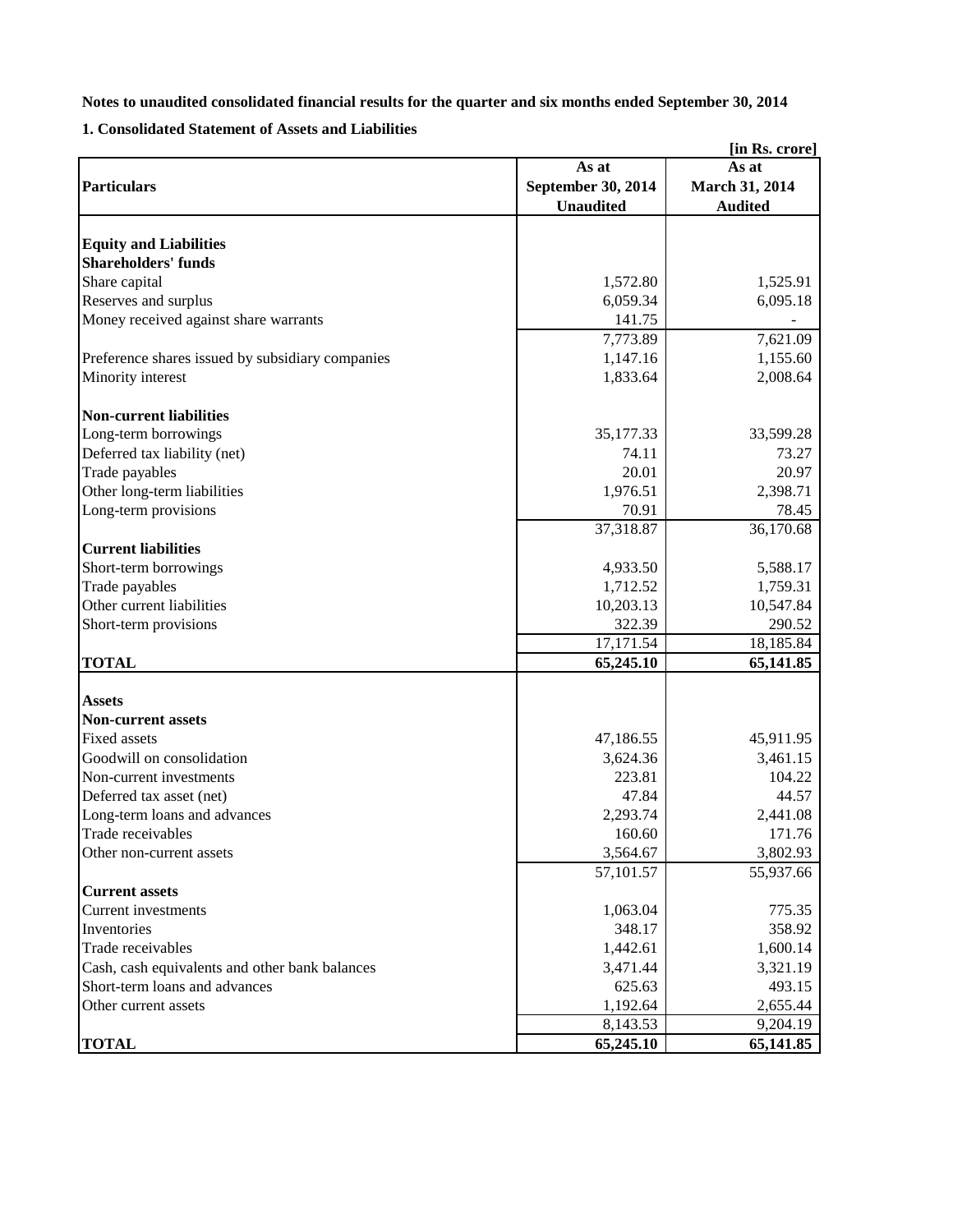### **Notes to unaudited consolidated financial results for the quarter and six months ended September 30, 2014**

**1. Consolidated Statement of Assets and Liabilities**

| [in Rs. crore]                                   |                    |                |  |  |
|--------------------------------------------------|--------------------|----------------|--|--|
|                                                  | As at              | As at          |  |  |
| <b>Particulars</b>                               | September 30, 2014 | March 31, 2014 |  |  |
|                                                  | <b>Unaudited</b>   | <b>Audited</b> |  |  |
|                                                  |                    |                |  |  |
| <b>Equity and Liabilities</b>                    |                    |                |  |  |
| <b>Shareholders' funds</b>                       |                    |                |  |  |
| Share capital                                    | 1,572.80           | 1,525.91       |  |  |
| Reserves and surplus                             | 6,059.34           | 6,095.18       |  |  |
| Money received against share warrants            | 141.75             |                |  |  |
|                                                  | 7,773.89           | 7,621.09       |  |  |
| Preference shares issued by subsidiary companies | 1,147.16           | 1,155.60       |  |  |
| Minority interest                                | 1,833.64           | 2,008.64       |  |  |
| <b>Non-current liabilities</b>                   |                    |                |  |  |
| Long-term borrowings                             | 35,177.33          | 33,599.28      |  |  |
| Deferred tax liability (net)                     | 74.11              | 73.27          |  |  |
| Trade payables                                   | 20.01              | 20.97          |  |  |
| Other long-term liabilities                      | 1,976.51           | 2,398.71       |  |  |
| Long-term provisions                             | 70.91              | 78.45          |  |  |
|                                                  | 37,318.87          | 36,170.68      |  |  |
| <b>Current liabilities</b>                       |                    |                |  |  |
| Short-term borrowings                            | 4,933.50           | 5,588.17       |  |  |
| Trade payables                                   | 1,712.52           | 1,759.31       |  |  |
| Other current liabilities                        |                    |                |  |  |
|                                                  | 10,203.13          | 10,547.84      |  |  |
| Short-term provisions                            | 322.39             | 290.52         |  |  |
|                                                  | 17,171.54          | 18,185.84      |  |  |
| <b>TOTAL</b>                                     | 65,245.10          | 65,141.85      |  |  |
| <b>Assets</b>                                    |                    |                |  |  |
| <b>Non-current assets</b>                        |                    |                |  |  |
| <b>Fixed assets</b>                              | 47,186.55          | 45,911.95      |  |  |
| Goodwill on consolidation                        | 3,624.36           | 3,461.15       |  |  |
| Non-current investments                          | 223.81             | 104.22         |  |  |
| Deferred tax asset (net)                         | 47.84              | 44.57          |  |  |
| Long-term loans and advances                     | 2,293.74           | 2,441.08       |  |  |
| Trade receivables                                | 160.60             | 171.76         |  |  |
| Other non-current assets                         | 3,564.67           | 3,802.93       |  |  |
|                                                  | 57,101.57          | 55,937.66      |  |  |
| <b>Current assets</b>                            |                    |                |  |  |
| Current investments                              | 1,063.04           | 775.35         |  |  |
| Inventories                                      | 348.17             | 358.92         |  |  |
| Trade receivables                                | 1,442.61           | 1,600.14       |  |  |
| Cash, cash equivalents and other bank balances   | 3,471.44           | 3,321.19       |  |  |
| Short-term loans and advances                    | 625.63             | 493.15         |  |  |
| Other current assets                             | 1,192.64           | 2,655.44       |  |  |
|                                                  | 8,143.53           | 9,204.19       |  |  |
| <b>TOTAL</b>                                     | 65,245.10          | 65,141.85      |  |  |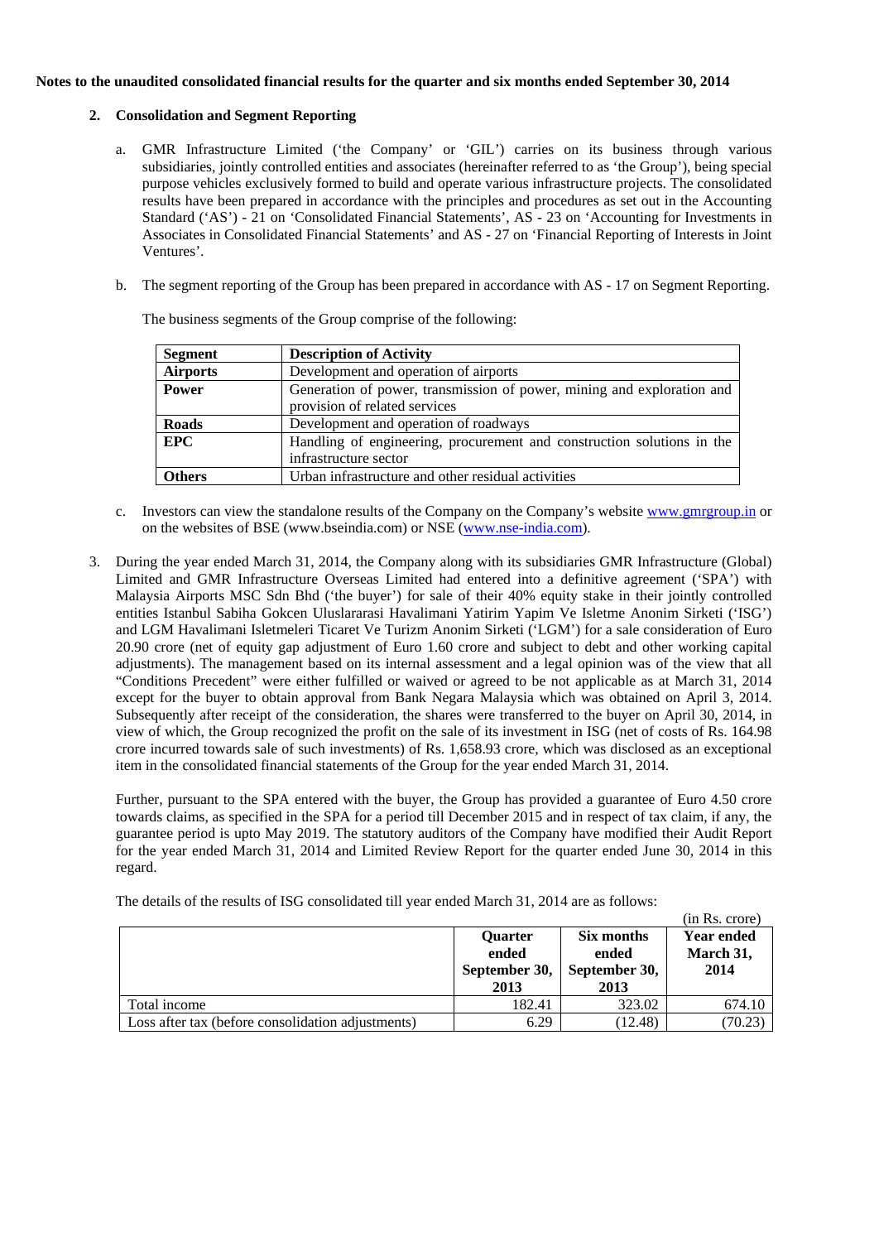#### **Notes to the unaudited consolidated financial results for the quarter and six months ended September 30, 2014**

#### **2. Consolidation and Segment Reporting**

- a. GMR Infrastructure Limited ('the Company' or 'GIL') carries on its business through various subsidiaries, jointly controlled entities and associates (hereinafter referred to as 'the Group'), being special purpose vehicles exclusively formed to build and operate various infrastructure projects. The consolidated results have been prepared in accordance with the principles and procedures as set out in the Accounting Standard ('AS') - 21 on 'Consolidated Financial Statements', AS - 23 on 'Accounting for Investments in Associates in Consolidated Financial Statements' and AS - 27 on 'Financial Reporting of Interests in Joint Ventures'.
- b. The segment reporting of the Group has been prepared in accordance with AS 17 on Segment Reporting.

| Segment         | <b>Description of Activity</b>                                                                          |
|-----------------|---------------------------------------------------------------------------------------------------------|
| <b>Airports</b> | Development and operation of airports                                                                   |
| <b>Power</b>    | Generation of power, transmission of power, mining and exploration and<br>provision of related services |
| <b>Roads</b>    | Development and operation of roadways                                                                   |
| EPC             | Handling of engineering, procurement and construction solutions in the<br>infrastructure sector         |
| <b>Others</b>   | Urban infrastructure and other residual activities                                                      |

The business segments of the Group comprise of the following:

- c. Investors can view the standalone results of the Company on the Company's websit[e www.gmrgroup.in](http://www.gmrgroup.in/) or on the websites of BSE (www.bseindia.com) or NSE [\(www.nse-india.com\)](http://www.nse-india.com/).
- 3. During the year ended March 31, 2014, the Company along with its subsidiaries GMR Infrastructure (Global) Limited and GMR Infrastructure Overseas Limited had entered into a definitive agreement ('SPA') with Malaysia Airports MSC Sdn Bhd ('the buyer') for sale of their 40% equity stake in their jointly controlled entities Istanbul Sabiha Gokcen Uluslararasi Havalimani Yatirim Yapim Ve Isletme Anonim Sirketi ('ISG') and LGM Havalimani Isletmeleri Ticaret Ve Turizm Anonim Sirketi ('LGM') for a sale consideration of Euro 20.90 crore (net of equity gap adjustment of Euro 1.60 crore and subject to debt and other working capital adjustments). The management based on its internal assessment and a legal opinion was of the view that all "Conditions Precedent" were either fulfilled or waived or agreed to be not applicable as at March 31, 2014 except for the buyer to obtain approval from Bank Negara Malaysia which was obtained on April 3, 2014. Subsequently after receipt of the consideration, the shares were transferred to the buyer on April 30, 2014, in view of which, the Group recognized the profit on the sale of its investment in ISG (net of costs of Rs. 164.98 crore incurred towards sale of such investments) of Rs. 1,658.93 crore, which was disclosed as an exceptional item in the consolidated financial statements of the Group for the year ended March 31, 2014.

Further, pursuant to the SPA entered with the buyer, the Group has provided a guarantee of Euro 4.50 crore towards claims, as specified in the SPA for a period till December 2015 and in respect of tax claim, if any, the guarantee period is upto May 2019. The statutory auditors of the Company have modified their Audit Report for the year ended March 31, 2014 and Limited Review Report for the quarter ended June 30, 2014 in this regard.

The details of the results of ISG consolidated till year ended March 31, 2014 are as follows:

|                                                   |                                                  |                                              | (in Rs. crore)                         |
|---------------------------------------------------|--------------------------------------------------|----------------------------------------------|----------------------------------------|
|                                                   | <b>Quarter</b><br>ended<br>September 30,<br>2013 | Six months<br>ended<br>September 30,<br>2013 | <b>Year ended</b><br>March 31,<br>2014 |
| Total income                                      | 182.41                                           | 323.02                                       | 674.10                                 |
| Loss after tax (before consolidation adjustments) | 6.29                                             | (12.48)                                      | (70.23)                                |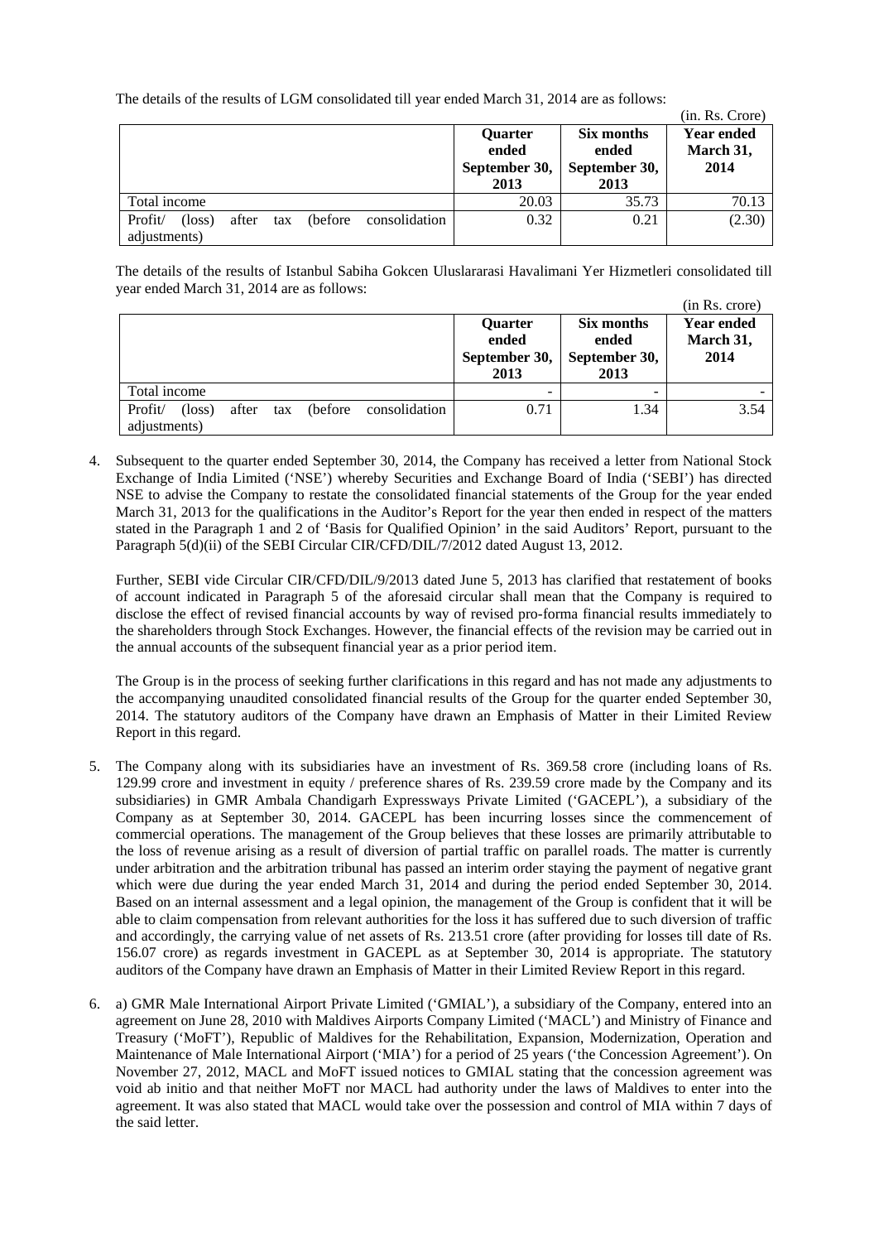The details of the results of LGM consolidated till year ended March 31, 2014 are as follows:

|                         |                          |     |          |               |                                           |                                              | (in. Rs. Crore)                        |
|-------------------------|--------------------------|-----|----------|---------------|-------------------------------------------|----------------------------------------------|----------------------------------------|
|                         |                          |     |          |               | Quarter<br>ended<br>September 30,<br>2013 | Six months<br>ended<br>September 30,<br>2013 | <b>Year ended</b><br>March 31,<br>2014 |
| Total income            |                          |     |          |               | 20.03                                     | 35.73                                        | 70.13                                  |
| Profit/<br>adjustments) | after<br>$(\text{loss})$ | tax | (before) | consolidation | 0.32                                      | 0.21                                         | (2.30)                                 |

The details of the results of Istanbul Sabiha Gokcen Uluslararasi Havalimani Yer Hizmetleri consolidated till year ended March 31, 2014 are as follows:

|                                                                                         |                                           |                                              | (in Rs. crore)                         |
|-----------------------------------------------------------------------------------------|-------------------------------------------|----------------------------------------------|----------------------------------------|
|                                                                                         | Quarter<br>ended<br>September 30,<br>2013 | Six months<br>ended<br>September 30,<br>2013 | <b>Year ended</b><br>March 31,<br>2014 |
| Total income                                                                            |                                           | -                                            |                                        |
| consolidation<br>Profit/<br>(before)<br>$(\text{loss})$<br>after<br>tax<br>adjustments) | 0.71                                      | 1.34                                         | 3.54                                   |

4. Subsequent to the quarter ended September 30, 2014, the Company has received a letter from National Stock Exchange of India Limited ('NSE') whereby Securities and Exchange Board of India ('SEBI') has directed NSE to advise the Company to restate the consolidated financial statements of the Group for the year ended March 31, 2013 for the qualifications in the Auditor's Report for the year then ended in respect of the matters stated in the Paragraph 1 and 2 of 'Basis for Qualified Opinion' in the said Auditors' Report, pursuant to the Paragraph 5(d)(ii) of the SEBI Circular CIR/CFD/DIL/7/2012 dated August 13, 2012.

Further, SEBI vide Circular CIR/CFD/DIL/9/2013 dated June 5, 2013 has clarified that restatement of books of account indicated in Paragraph 5 of the aforesaid circular shall mean that the Company is required to disclose the effect of revised financial accounts by way of revised pro-forma financial results immediately to the shareholders through Stock Exchanges. However, the financial effects of the revision may be carried out in the annual accounts of the subsequent financial year as a prior period item.

The Group is in the process of seeking further clarifications in this regard and has not made any adjustments to the accompanying unaudited consolidated financial results of the Group for the quarter ended September 30, 2014. The statutory auditors of the Company have drawn an Emphasis of Matter in their Limited Review Report in this regard.

- 5. The Company along with its subsidiaries have an investment of Rs. 369.58 crore (including loans of Rs. 129.99 crore and investment in equity / preference shares of Rs. 239.59 crore made by the Company and its subsidiaries) in GMR Ambala Chandigarh Expressways Private Limited ('GACEPL'), a subsidiary of the Company as at September 30, 2014. GACEPL has been incurring losses since the commencement of commercial operations. The management of the Group believes that these losses are primarily attributable to the loss of revenue arising as a result of diversion of partial traffic on parallel roads. The matter is currently under arbitration and the arbitration tribunal has passed an interim order staying the payment of negative grant which were due during the year ended March 31, 2014 and during the period ended September 30, 2014. Based on an internal assessment and a legal opinion, the management of the Group is confident that it will be able to claim compensation from relevant authorities for the loss it has suffered due to such diversion of traffic and accordingly, the carrying value of net assets of Rs. 213.51 crore (after providing for losses till date of Rs. 156.07 crore) as regards investment in GACEPL as at September 30, 2014 is appropriate. The statutory auditors of the Company have drawn an Emphasis of Matter in their Limited Review Report in this regard.
- 6. a) GMR Male International Airport Private Limited ('GMIAL'), a subsidiary of the Company, entered into an agreement on June 28, 2010 with Maldives Airports Company Limited ('MACL') and Ministry of Finance and Treasury ('MoFT'), Republic of Maldives for the Rehabilitation, Expansion, Modernization, Operation and Maintenance of Male International Airport ('MIA') for a period of 25 years ('the Concession Agreement'). On November 27, 2012, MACL and MoFT issued notices to GMIAL stating that the concession agreement was void ab initio and that neither MoFT nor MACL had authority under the laws of Maldives to enter into the agreement. It was also stated that MACL would take over the possession and control of MIA within 7 days of the said letter.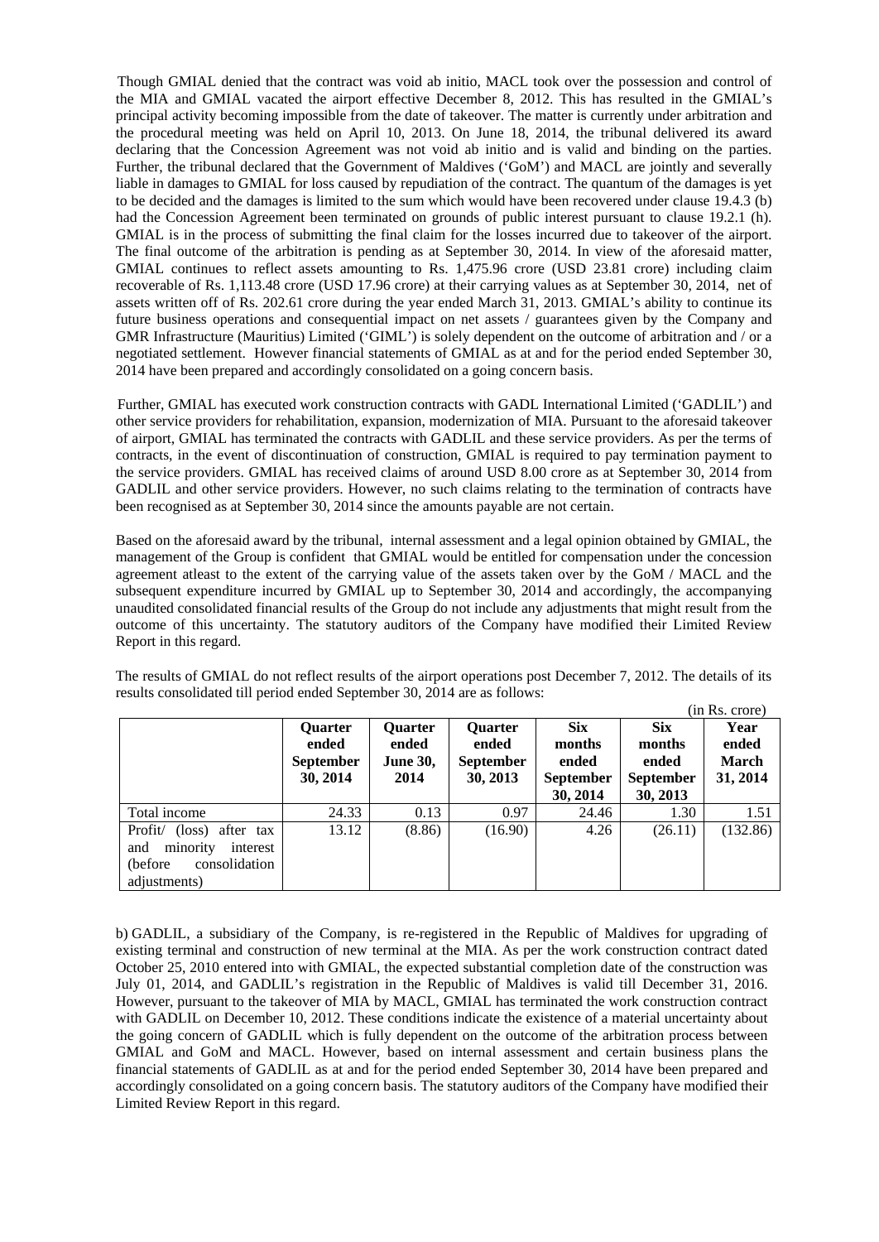Though GMIAL denied that the contract was void ab initio, MACL took over the possession and control of the MIA and GMIAL vacated the airport effective December 8, 2012. This has resulted in the GMIAL's principal activity becoming impossible from the date of takeover. The matter is currently under arbitration and the procedural meeting was held on April 10, 2013. On June 18, 2014, the tribunal delivered its award declaring that the Concession Agreement was not void ab initio and is valid and binding on the parties. Further, the tribunal declared that the Government of Maldives ('GoM') and MACL are jointly and severally liable in damages to GMIAL for loss caused by repudiation of the contract. The quantum of the damages is yet to be decided and the damages is limited to the sum which would have been recovered under clause 19.4.3 (b) had the Concession Agreement been terminated on grounds of public interest pursuant to clause 19.2.1 (h). GMIAL is in the process of submitting the final claim for the losses incurred due to takeover of the airport. The final outcome of the arbitration is pending as at September 30, 2014. In view of the aforesaid matter, GMIAL continues to reflect assets amounting to Rs. 1,475.96 crore (USD 23.81 crore) including claim recoverable of Rs. 1,113.48 crore (USD 17.96 crore) at their carrying values as at September 30, 2014, net of assets written off of Rs. 202.61 crore during the year ended March 31, 2013. GMIAL's ability to continue its future business operations and consequential impact on net assets / guarantees given by the Company and GMR Infrastructure (Mauritius) Limited ('GIML') is solely dependent on the outcome of arbitration and / or a negotiated settlement. However financial statements of GMIAL as at and for the period ended September 30, 2014 have been prepared and accordingly consolidated on a going concern basis.

Further, GMIAL has executed work construction contracts with GADL International Limited ('GADLIL') and other service providers for rehabilitation, expansion, modernization of MIA. Pursuant to the aforesaid takeover of airport, GMIAL has terminated the contracts with GADLIL and these service providers. As per the terms of contracts, in the event of discontinuation of construction, GMIAL is required to pay termination payment to the service providers. GMIAL has received claims of around USD 8.00 crore as at September 30, 2014 from GADLIL and other service providers. However, no such claims relating to the termination of contracts have been recognised as at September 30, 2014 since the amounts payable are not certain.

Based on the aforesaid award by the tribunal, internal assessment and a legal opinion obtained by GMIAL, the management of the Group is confident that GMIAL would be entitled for compensation under the concession agreement atleast to the extent of the carrying value of the assets taken over by the GoM / MACL and the subsequent expenditure incurred by GMIAL up to September 30, 2014 and accordingly, the accompanying unaudited consolidated financial results of the Group do not include any adjustments that might result from the outcome of this uncertainty. The statutory auditors of the Company have modified their Limited Review Report in this regard.

The results of GMIAL do not reflect results of the airport operations post December 7, 2012. The details of its results consolidated till period ended September 30, 2014 are as follows:

|                                                                                                         |                                                         |                                                    |                                                         |                                                               |                                                               | (in Rs. crore)                     |
|---------------------------------------------------------------------------------------------------------|---------------------------------------------------------|----------------------------------------------------|---------------------------------------------------------|---------------------------------------------------------------|---------------------------------------------------------------|------------------------------------|
|                                                                                                         | <b>Ouarter</b><br>ended<br><b>September</b><br>30, 2014 | <b>Ouarter</b><br>ended<br><b>June 30,</b><br>2014 | <b>Ouarter</b><br>ended<br><b>September</b><br>30, 2013 | <b>Six</b><br>months<br>ended<br><b>September</b><br>30, 2014 | <b>Six</b><br>months<br>ended<br><b>September</b><br>30, 2013 | Year<br>ended<br>March<br>31, 2014 |
| Total income                                                                                            | 24.33                                                   | 0.13                                               | 0.97                                                    | 24.46                                                         | 1.30                                                          | 1.51                               |
| (loss) after tax<br>Profit/<br>minority<br>interest<br>and<br>consolidation<br>(before)<br>adjustments) | 13.12                                                   | (8.86)                                             | (16.90)                                                 | 4.26                                                          | (26.11)                                                       | (132.86)                           |

b) GADLIL, a subsidiary of the Company, is re-registered in the Republic of Maldives for upgrading of existing terminal and construction of new terminal at the MIA. As per the work construction contract dated October 25, 2010 entered into with GMIAL, the expected substantial completion date of the construction was July 01, 2014, and GADLIL's registration in the Republic of Maldives is valid till December 31, 2016. However, pursuant to the takeover of MIA by MACL, GMIAL has terminated the work construction contract with GADLIL on December 10, 2012. These conditions indicate the existence of a material uncertainty about the going concern of GADLIL which is fully dependent on the outcome of the arbitration process between GMIAL and GoM and MACL. However, based on internal assessment and certain business plans the financial statements of GADLIL as at and for the period ended September 30, 2014 have been prepared and accordingly consolidated on a going concern basis. The statutory auditors of the Company have modified their Limited Review Report in this regard.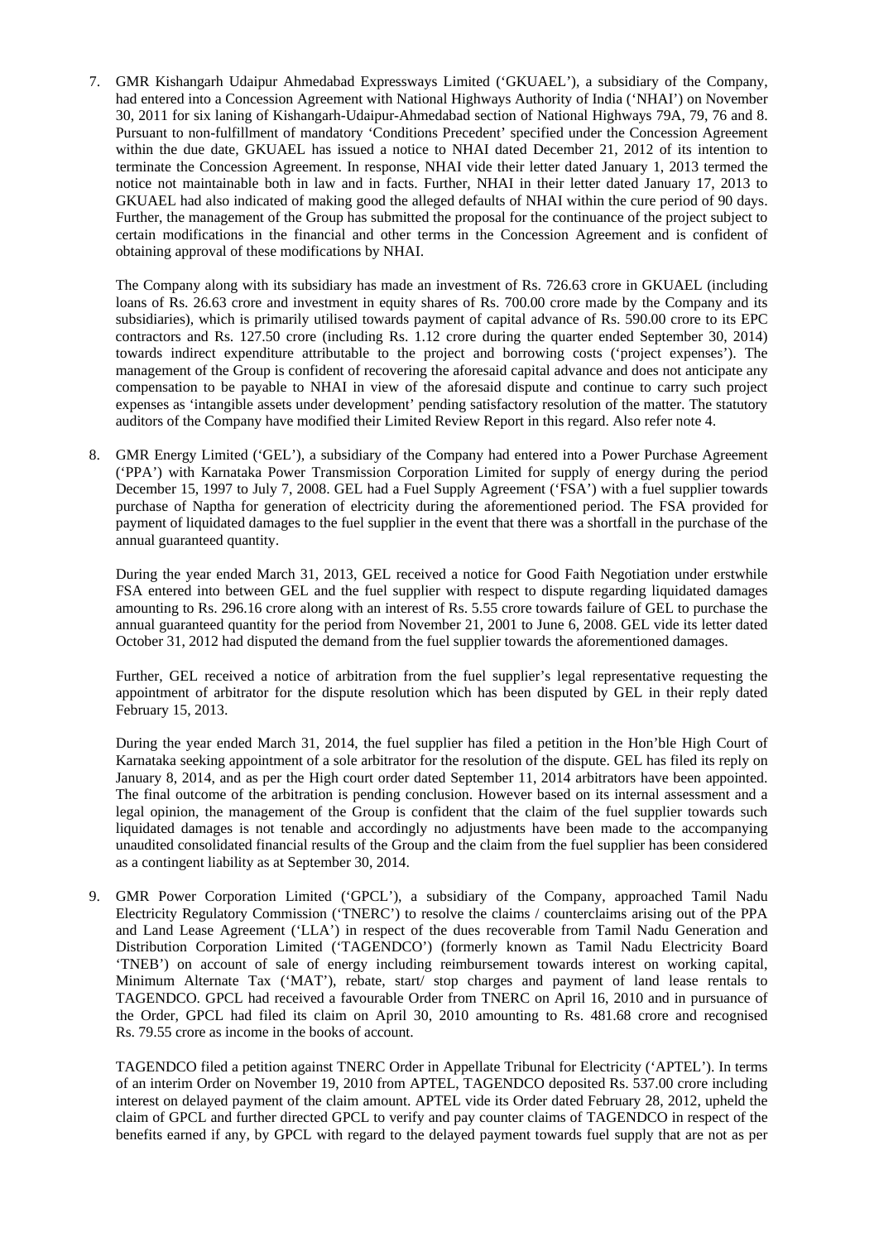7. GMR Kishangarh Udaipur Ahmedabad Expressways Limited ('GKUAEL'), a subsidiary of the Company, had entered into a Concession Agreement with National Highways Authority of India ('NHAI') on November 30, 2011 for six laning of Kishangarh-Udaipur-Ahmedabad section of National Highways 79A, 79, 76 and 8. Pursuant to non-fulfillment of mandatory 'Conditions Precedent' specified under the Concession Agreement within the due date, GKUAEL has issued a notice to NHAI dated December 21, 2012 of its intention to terminate the Concession Agreement. In response, NHAI vide their letter dated January 1, 2013 termed the notice not maintainable both in law and in facts. Further, NHAI in their letter dated January 17, 2013 to GKUAEL had also indicated of making good the alleged defaults of NHAI within the cure period of 90 days. Further, the management of the Group has submitted the proposal for the continuance of the project subject to certain modifications in the financial and other terms in the Concession Agreement and is confident of obtaining approval of these modifications by NHAI.

The Company along with its subsidiary has made an investment of Rs. 726.63 crore in GKUAEL (including loans of Rs. 26.63 crore and investment in equity shares of Rs. 700.00 crore made by the Company and its subsidiaries), which is primarily utilised towards payment of capital advance of Rs. 590.00 crore to its EPC contractors and Rs. 127.50 crore (including Rs. 1.12 crore during the quarter ended September 30, 2014) towards indirect expenditure attributable to the project and borrowing costs ('project expenses'). The management of the Group is confident of recovering the aforesaid capital advance and does not anticipate any compensation to be payable to NHAI in view of the aforesaid dispute and continue to carry such project expenses as 'intangible assets under development' pending satisfactory resolution of the matter. The statutory auditors of the Company have modified their Limited Review Report in this regard. Also refer note 4.

8. GMR Energy Limited ('GEL'), a subsidiary of the Company had entered into a Power Purchase Agreement ('PPA') with Karnataka Power Transmission Corporation Limited for supply of energy during the period December 15, 1997 to July 7, 2008. GEL had a Fuel Supply Agreement ('FSA') with a fuel supplier towards purchase of Naptha for generation of electricity during the aforementioned period. The FSA provided for payment of liquidated damages to the fuel supplier in the event that there was a shortfall in the purchase of the annual guaranteed quantity.

During the year ended March 31, 2013, GEL received a notice for Good Faith Negotiation under erstwhile FSA entered into between GEL and the fuel supplier with respect to dispute regarding liquidated damages amounting to Rs. 296.16 crore along with an interest of Rs. 5.55 crore towards failure of GEL to purchase the annual guaranteed quantity for the period from November 21, 2001 to June 6, 2008. GEL vide its letter dated October 31, 2012 had disputed the demand from the fuel supplier towards the aforementioned damages.

Further, GEL received a notice of arbitration from the fuel supplier's legal representative requesting the appointment of arbitrator for the dispute resolution which has been disputed by GEL in their reply dated February 15, 2013.

During the year ended March 31, 2014, the fuel supplier has filed a petition in the Hon'ble High Court of Karnataka seeking appointment of a sole arbitrator for the resolution of the dispute. GEL has filed its reply on January 8, 2014, and as per the High court order dated September 11, 2014 arbitrators have been appointed. The final outcome of the arbitration is pending conclusion. However based on its internal assessment and a legal opinion, the management of the Group is confident that the claim of the fuel supplier towards such liquidated damages is not tenable and accordingly no adjustments have been made to the accompanying unaudited consolidated financial results of the Group and the claim from the fuel supplier has been considered as a contingent liability as at September 30, 2014.

9. GMR Power Corporation Limited ('GPCL'), a subsidiary of the Company, approached Tamil Nadu Electricity Regulatory Commission ('TNERC') to resolve the claims / counterclaims arising out of the PPA and Land Lease Agreement ('LLA') in respect of the dues recoverable from Tamil Nadu Generation and Distribution Corporation Limited ('TAGENDCO') (formerly known as Tamil Nadu Electricity Board 'TNEB') on account of sale of energy including reimbursement towards interest on working capital, Minimum Alternate Tax ('MAT'), rebate, start/ stop charges and payment of land lease rentals to TAGENDCO. GPCL had received a favourable Order from TNERC on April 16, 2010 and in pursuance of the Order, GPCL had filed its claim on April 30, 2010 amounting to Rs. 481.68 crore and recognised Rs. 79.55 crore as income in the books of account.

TAGENDCO filed a petition against TNERC Order in Appellate Tribunal for Electricity ('APTEL'). In terms of an interim Order on November 19, 2010 from APTEL, TAGENDCO deposited Rs. 537.00 crore including interest on delayed payment of the claim amount. APTEL vide its Order dated February 28, 2012, upheld the claim of GPCL and further directed GPCL to verify and pay counter claims of TAGENDCO in respect of the benefits earned if any, by GPCL with regard to the delayed payment towards fuel supply that are not as per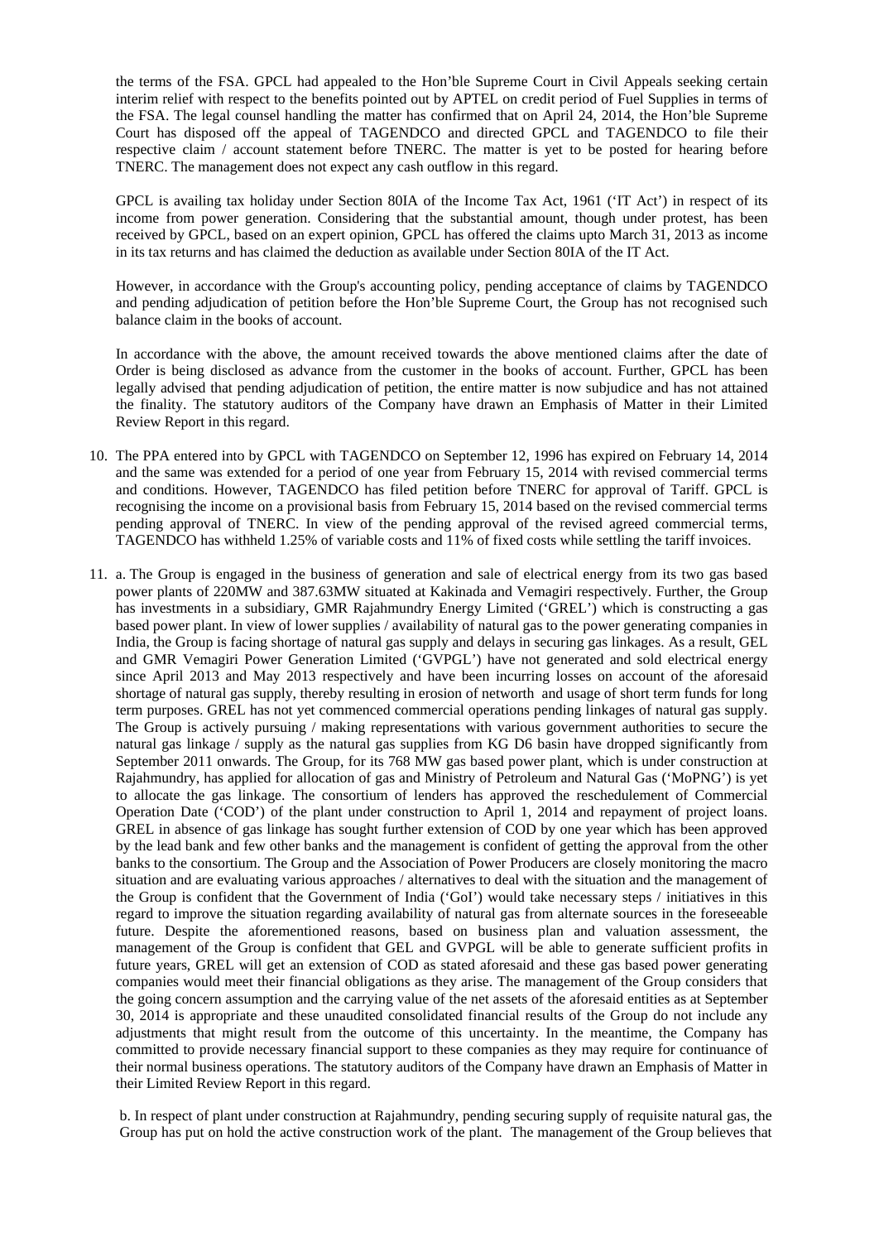the terms of the FSA. GPCL had appealed to the Hon'ble Supreme Court in Civil Appeals seeking certain interim relief with respect to the benefits pointed out by APTEL on credit period of Fuel Supplies in terms of the FSA. The legal counsel handling the matter has confirmed that on April 24, 2014, the Hon'ble Supreme Court has disposed off the appeal of TAGENDCO and directed GPCL and TAGENDCO to file their respective claim / account statement before TNERC. The matter is yet to be posted for hearing before TNERC. The management does not expect any cash outflow in this regard.

GPCL is availing tax holiday under Section 80IA of the Income Tax Act, 1961 ('IT Act') in respect of its income from power generation. Considering that the substantial amount, though under protest, has been received by GPCL, based on an expert opinion, GPCL has offered the claims upto March 31, 2013 as income in its tax returns and has claimed the deduction as available under Section 80IA of the IT Act.

However, in accordance with the Group's accounting policy, pending acceptance of claims by TAGENDCO and pending adjudication of petition before the Hon'ble Supreme Court, the Group has not recognised such balance claim in the books of account.

In accordance with the above, the amount received towards the above mentioned claims after the date of Order is being disclosed as advance from the customer in the books of account. Further, GPCL has been legally advised that pending adjudication of petition, the entire matter is now subjudice and has not attained the finality. The statutory auditors of the Company have drawn an Emphasis of Matter in their Limited Review Report in this regard.

- 10. The PPA entered into by GPCL with TAGENDCO on September 12, 1996 has expired on February 14, 2014 and the same was extended for a period of one year from February 15, 2014 with revised commercial terms and conditions. However, TAGENDCO has filed petition before TNERC for approval of Tariff. GPCL is recognising the income on a provisional basis from February 15, 2014 based on the revised commercial terms pending approval of TNERC. In view of the pending approval of the revised agreed commercial terms, TAGENDCO has withheld 1.25% of variable costs and 11% of fixed costs while settling the tariff invoices.
- 11. a. The Group is engaged in the business of generation and sale of electrical energy from its two gas based power plants of 220MW and 387.63MW situated at Kakinada and Vemagiri respectively. Further, the Group has investments in a subsidiary, GMR Rajahmundry Energy Limited ('GREL') which is constructing a gas based power plant. In view of lower supplies / availability of natural gas to the power generating companies in India, the Group is facing shortage of natural gas supply and delays in securing gas linkages. As a result, GEL and GMR Vemagiri Power Generation Limited ('GVPGL') have not generated and sold electrical energy since April 2013 and May 2013 respectively and have been incurring losses on account of the aforesaid shortage of natural gas supply, thereby resulting in erosion of networth and usage of short term funds for long term purposes. GREL has not yet commenced commercial operations pending linkages of natural gas supply. The Group is actively pursuing / making representations with various government authorities to secure the natural gas linkage / supply as the natural gas supplies from KG D6 basin have dropped significantly from September 2011 onwards. The Group, for its 768 MW gas based power plant, which is under construction at Rajahmundry, has applied for allocation of gas and Ministry of Petroleum and Natural Gas ('MoPNG') is yet to allocate the gas linkage. The consortium of lenders has approved the reschedulement of Commercial Operation Date ('COD') of the plant under construction to April 1, 2014 and repayment of project loans. GREL in absence of gas linkage has sought further extension of COD by one year which has been approved by the lead bank and few other banks and the management is confident of getting the approval from the other banks to the consortium. The Group and the Association of Power Producers are closely monitoring the macro situation and are evaluating various approaches / alternatives to deal with the situation and the management of the Group is confident that the Government of India ('GoI') would take necessary steps / initiatives in this regard to improve the situation regarding availability of natural gas from alternate sources in the foreseeable future. Despite the aforementioned reasons, based on business plan and valuation assessment, the management of the Group is confident that GEL and GVPGL will be able to generate sufficient profits in future years, GREL will get an extension of COD as stated aforesaid and these gas based power generating companies would meet their financial obligations as they arise. The management of the Group considers that the going concern assumption and the carrying value of the net assets of the aforesaid entities as at September 30, 2014 is appropriate and these unaudited consolidated financial results of the Group do not include any adjustments that might result from the outcome of this uncertainty. In the meantime, the Company has committed to provide necessary financial support to these companies as they may require for continuance of their normal business operations. The statutory auditors of the Company have drawn an Emphasis of Matter in their Limited Review Report in this regard.

b. In respect of plant under construction at Rajahmundry, pending securing supply of requisite natural gas, the Group has put on hold the active construction work of the plant. The management of the Group believes that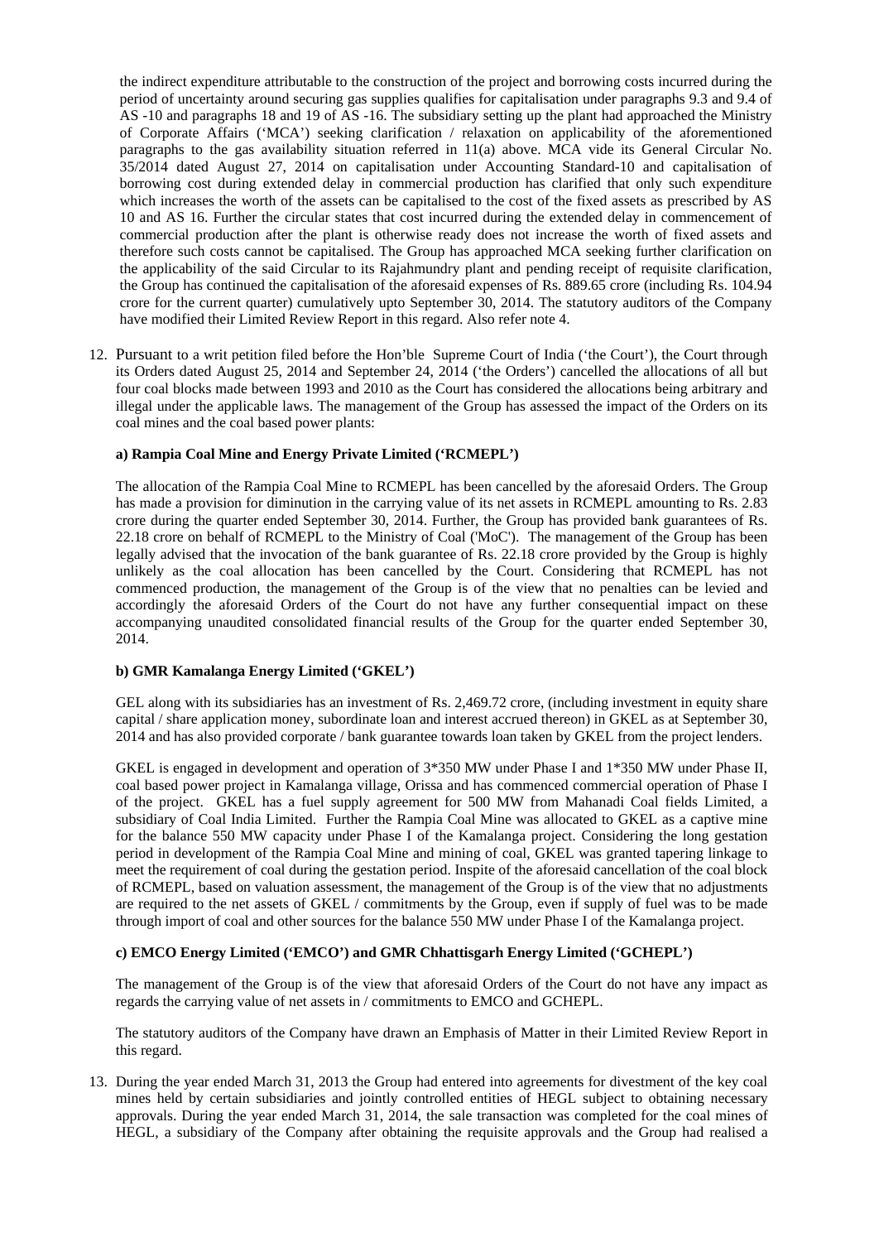the indirect expenditure attributable to the construction of the project and borrowing costs incurred during the period of uncertainty around securing gas supplies qualifies for capitalisation under paragraphs 9.3 and 9.4 of AS -10 and paragraphs 18 and 19 of AS -16. The subsidiary setting up the plant had approached the Ministry of Corporate Affairs ('MCA') seeking clarification / relaxation on applicability of the aforementioned paragraphs to the gas availability situation referred in 11(a) above. MCA vide its General Circular No. 35/2014 dated August 27, 2014 on capitalisation under Accounting Standard-10 and capitalisation of borrowing cost during extended delay in commercial production has clarified that only such expenditure which increases the worth of the assets can be capitalised to the cost of the fixed assets as prescribed by AS 10 and AS 16. Further the circular states that cost incurred during the extended delay in commencement of commercial production after the plant is otherwise ready does not increase the worth of fixed assets and therefore such costs cannot be capitalised. The Group has approached MCA seeking further clarification on the applicability of the said Circular to its Rajahmundry plant and pending receipt of requisite clarification, the Group has continued the capitalisation of the aforesaid expenses of Rs. 889.65 crore (including Rs. 104.94 crore for the current quarter) cumulatively upto September 30, 2014. The statutory auditors of the Company have modified their Limited Review Report in this regard. Also refer note 4.

12. Pursuant to a writ petition filed before the Hon'ble Supreme Court of India ('the Court'), the Court through its Orders dated August 25, 2014 and September 24, 2014 ('the Orders') cancelled the allocations of all but four coal blocks made between 1993 and 2010 as the Court has considered the allocations being arbitrary and illegal under the applicable laws. The management of the Group has assessed the impact of the Orders on its coal mines and the coal based power plants:

#### **a) Rampia Coal Mine and Energy Private Limited ('RCMEPL')**

The allocation of the Rampia Coal Mine to RCMEPL has been cancelled by the aforesaid Orders. The Group has made a provision for diminution in the carrying value of its net assets in RCMEPL amounting to Rs. 2.83 crore during the quarter ended September 30, 2014. Further, the Group has provided bank guarantees of Rs. 22.18 crore on behalf of RCMEPL to the Ministry of Coal ('MoC'). The management of the Group has been legally advised that the invocation of the bank guarantee of Rs. 22.18 crore provided by the Group is highly unlikely as the coal allocation has been cancelled by the Court. Considering that RCMEPL has not commenced production, the management of the Group is of the view that no penalties can be levied and accordingly the aforesaid Orders of the Court do not have any further consequential impact on these accompanying unaudited consolidated financial results of the Group for the quarter ended September 30, 2014.

#### **b) GMR Kamalanga Energy Limited ('GKEL')**

GEL along with its subsidiaries has an investment of Rs. 2,469.72 crore, (including investment in equity share capital / share application money, subordinate loan and interest accrued thereon) in GKEL as at September 30, 2014 and has also provided corporate / bank guarantee towards loan taken by GKEL from the project lenders.

GKEL is engaged in development and operation of 3\*350 MW under Phase I and 1\*350 MW under Phase II, coal based power project in Kamalanga village, Orissa and has commenced commercial operation of Phase I of the project. GKEL has a fuel supply agreement for 500 MW from Mahanadi Coal fields Limited, a subsidiary of Coal India Limited. Further the Rampia Coal Mine was allocated to GKEL as a captive mine for the balance 550 MW capacity under Phase I of the Kamalanga project. Considering the long gestation period in development of the Rampia Coal Mine and mining of coal, GKEL was granted tapering linkage to meet the requirement of coal during the gestation period. Inspite of the aforesaid cancellation of the coal block of RCMEPL, based on valuation assessment, the management of the Group is of the view that no adjustments are required to the net assets of GKEL / commitments by the Group, even if supply of fuel was to be made through import of coal and other sources for the balance 550 MW under Phase I of the Kamalanga project.

#### **c) EMCO Energy Limited ('EMCO') and GMR Chhattisgarh Energy Limited ('GCHEPL')**

The management of the Group is of the view that aforesaid Orders of the Court do not have any impact as regards the carrying value of net assets in / commitments to EMCO and GCHEPL.

The statutory auditors of the Company have drawn an Emphasis of Matter in their Limited Review Report in this regard.

13. During the year ended March 31, 2013 the Group had entered into agreements for divestment of the key coal mines held by certain subsidiaries and jointly controlled entities of HEGL subject to obtaining necessary approvals. During the year ended March 31, 2014, the sale transaction was completed for the coal mines of HEGL, a subsidiary of the Company after obtaining the requisite approvals and the Group had realised a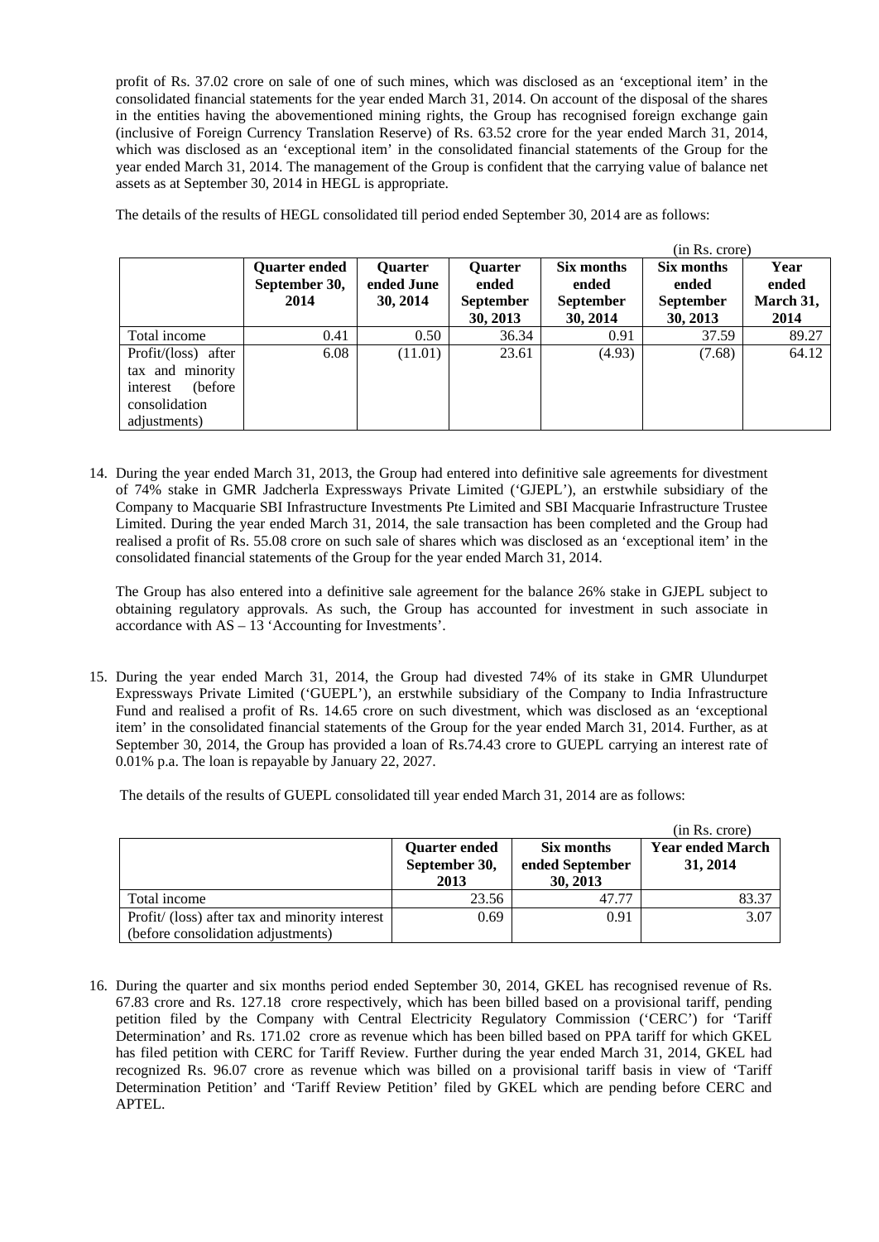profit of Rs. 37.02 crore on sale of one of such mines, which was disclosed as an 'exceptional item' in the consolidated financial statements for the year ended March 31, 2014. On account of the disposal of the shares in the entities having the abovementioned mining rights, the Group has recognised foreign exchange gain (inclusive of Foreign Currency Translation Reserve) of Rs. 63.52 crore for the year ended March 31, 2014, which was disclosed as an 'exceptional item' in the consolidated financial statements of the Group for the year ended March 31, 2014. The management of the Group is confident that the carrying value of balance net assets as at September 30, 2014 in HEGL is appropriate.

The details of the results of HEGL consolidated till period ended September 30, 2014 are as follows:

|                                                                                                   |                                        |                                          |                                                         |                                                     | (in Rs. crore)                                      |                                    |
|---------------------------------------------------------------------------------------------------|----------------------------------------|------------------------------------------|---------------------------------------------------------|-----------------------------------------------------|-----------------------------------------------------|------------------------------------|
|                                                                                                   | Quarter ended<br>September 30,<br>2014 | <b>Ouarter</b><br>ended June<br>30, 2014 | <b>Quarter</b><br>ended<br><b>September</b><br>30, 2013 | Six months<br>ended<br><b>September</b><br>30, 2014 | Six months<br>ended<br><b>September</b><br>30, 2013 | Year<br>ended<br>March 31,<br>2014 |
| Total income                                                                                      | 0.41                                   | 0.50                                     | 36.34                                                   | 0.91                                                | 37.59                                               | 89.27                              |
| Profit/ (loss) after<br>tax and minority<br>(before)<br>interest<br>consolidation<br>adjustments) | 6.08                                   | (11.01)                                  | 23.61                                                   | (4.93)                                              | (7.68)                                              | 64.12                              |

14. During the year ended March 31, 2013, the Group had entered into definitive sale agreements for divestment of 74% stake in GMR Jadcherla Expressways Private Limited ('GJEPL'), an erstwhile subsidiary of the Company to Macquarie SBI Infrastructure Investments Pte Limited and SBI Macquarie Infrastructure Trustee Limited. During the year ended March 31, 2014, the sale transaction has been completed and the Group had realised a profit of Rs. 55.08 crore on such sale of shares which was disclosed as an 'exceptional item' in the consolidated financial statements of the Group for the year ended March 31, 2014.

The Group has also entered into a definitive sale agreement for the balance 26% stake in GJEPL subject to obtaining regulatory approvals. As such, the Group has accounted for investment in such associate in accordance with AS – 13 'Accounting for Investments'.

15. During the year ended March 31, 2014, the Group had divested 74% of its stake in GMR Ulundurpet Expressways Private Limited ('GUEPL'), an erstwhile subsidiary of the Company to India Infrastructure Fund and realised a profit of Rs. 14.65 crore on such divestment, which was disclosed as an 'exceptional item' in the consolidated financial statements of the Group for the year ended March 31, 2014. Further, as at September 30, 2014, the Group has provided a loan of Rs.74.43 crore to GUEPL carrying an interest rate of 0.01% p.a. The loan is repayable by January 22, 2027.

The details of the results of GUEPL consolidated till year ended March 31, 2014 are as follows:

|                                                                                      |                                               |                                           | (in Rs. crore)                      |
|--------------------------------------------------------------------------------------|-----------------------------------------------|-------------------------------------------|-------------------------------------|
|                                                                                      | <b>Quarter ended</b><br>September 30,<br>2013 | Six months<br>ended September<br>30, 2013 | <b>Year ended March</b><br>31, 2014 |
| Total income                                                                         | 23.56                                         | 47.77                                     | 83.37                               |
| Profit/ (loss) after tax and minority interest<br>(before consolidation adjustments) | 0.69                                          | 0.91                                      | 3.07                                |

16. During the quarter and six months period ended September 30, 2014, GKEL has recognised revenue of Rs. 67.83 crore and Rs. 127.18 crore respectively, which has been billed based on a provisional tariff, pending petition filed by the Company with Central Electricity Regulatory Commission ('CERC') for 'Tariff Determination' and Rs. 171.02 crore as revenue which has been billed based on PPA tariff for which GKEL has filed petition with CERC for Tariff Review. Further during the year ended March 31, 2014, GKEL had recognized Rs. 96.07 crore as revenue which was billed on a provisional tariff basis in view of 'Tariff Determination Petition' and 'Tariff Review Petition' filed by GKEL which are pending before CERC and APTEL.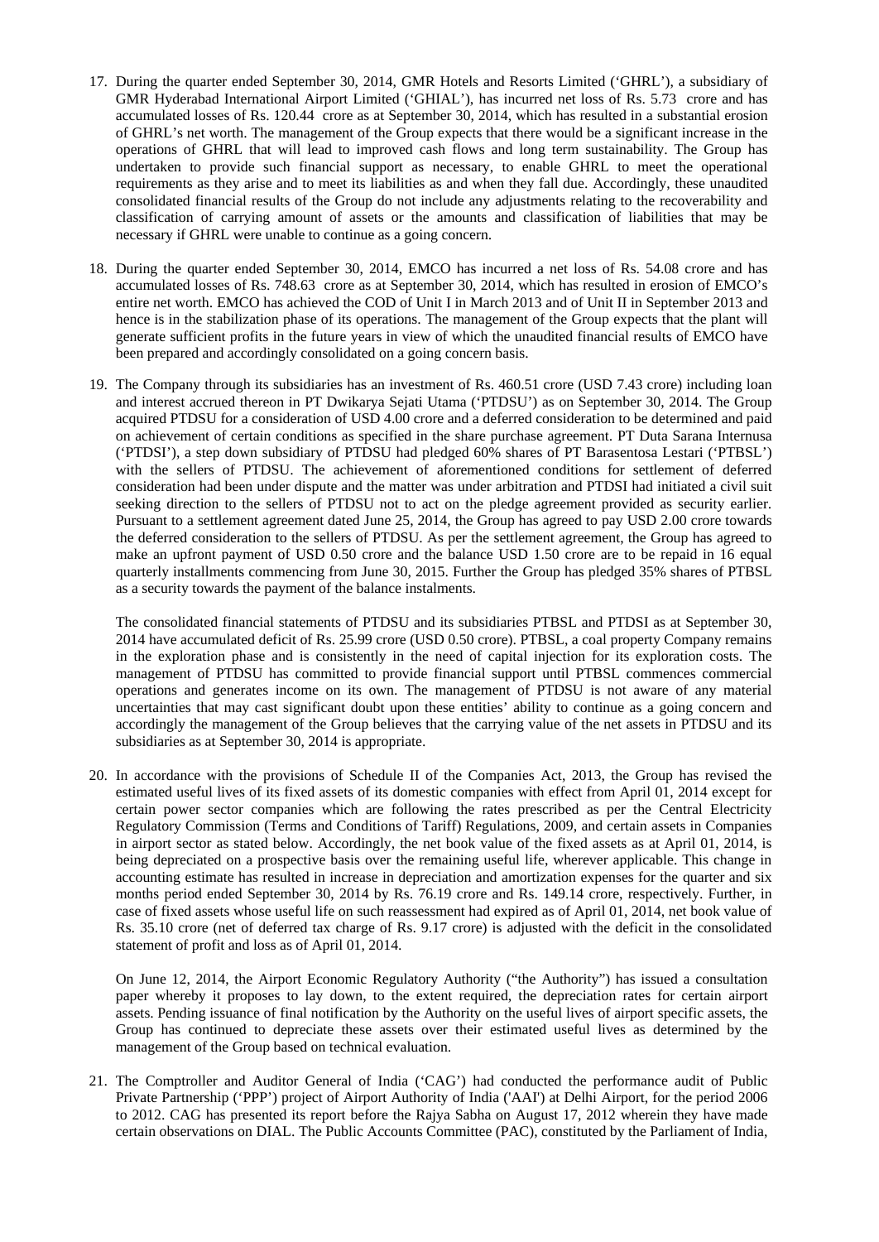- 17. During the quarter ended September 30, 2014, GMR Hotels and Resorts Limited ('GHRL'), a subsidiary of GMR Hyderabad International Airport Limited ('GHIAL'), has incurred net loss of Rs. 5.73 crore and has accumulated losses of Rs. 120.44 crore as at September 30, 2014, which has resulted in a substantial erosion of GHRL's net worth. The management of the Group expects that there would be a significant increase in the operations of GHRL that will lead to improved cash flows and long term sustainability. The Group has undertaken to provide such financial support as necessary, to enable GHRL to meet the operational requirements as they arise and to meet its liabilities as and when they fall due. Accordingly, these unaudited consolidated financial results of the Group do not include any adjustments relating to the recoverability and classification of carrying amount of assets or the amounts and classification of liabilities that may be necessary if GHRL were unable to continue as a going concern.
- 18. During the quarter ended September 30, 2014, EMCO has incurred a net loss of Rs. 54.08 crore and has accumulated losses of Rs. 748.63 crore as at September 30, 2014, which has resulted in erosion of EMCO's entire net worth. EMCO has achieved the COD of Unit I in March 2013 and of Unit II in September 2013 and hence is in the stabilization phase of its operations. The management of the Group expects that the plant will generate sufficient profits in the future years in view of which the unaudited financial results of EMCO have been prepared and accordingly consolidated on a going concern basis.
- 19. The Company through its subsidiaries has an investment of Rs. 460.51 crore (USD 7.43 crore) including loan and interest accrued thereon in PT Dwikarya Sejati Utama ('PTDSU') as on September 30, 2014. The Group acquired PTDSU for a consideration of USD 4.00 crore and a deferred consideration to be determined and paid on achievement of certain conditions as specified in the share purchase agreement. PT Duta Sarana Internusa ('PTDSI'), a step down subsidiary of PTDSU had pledged 60% shares of PT Barasentosa Lestari ('PTBSL') with the sellers of PTDSU. The achievement of aforementioned conditions for settlement of deferred consideration had been under dispute and the matter was under arbitration and PTDSI had initiated a civil suit seeking direction to the sellers of PTDSU not to act on the pledge agreement provided as security earlier. Pursuant to a settlement agreement dated June 25, 2014, the Group has agreed to pay USD 2.00 crore towards the deferred consideration to the sellers of PTDSU. As per the settlement agreement, the Group has agreed to make an upfront payment of USD 0.50 crore and the balance USD 1.50 crore are to be repaid in 16 equal quarterly installments commencing from June 30, 2015. Further the Group has pledged 35% shares of PTBSL as a security towards the payment of the balance instalments.

The consolidated financial statements of PTDSU and its subsidiaries PTBSL and PTDSI as at September 30, 2014 have accumulated deficit of Rs. 25.99 crore (USD 0.50 crore). PTBSL, a coal property Company remains in the exploration phase and is consistently in the need of capital injection for its exploration costs. The management of PTDSU has committed to provide financial support until PTBSL commences commercial operations and generates income on its own. The management of PTDSU is not aware of any material uncertainties that may cast significant doubt upon these entities' ability to continue as a going concern and accordingly the management of the Group believes that the carrying value of the net assets in PTDSU and its subsidiaries as at September 30, 2014 is appropriate.

20. In accordance with the provisions of Schedule II of the Companies Act, 2013, the Group has revised the estimated useful lives of its fixed assets of its domestic companies with effect from April 01, 2014 except for certain power sector companies which are following the rates prescribed as per the Central Electricity Regulatory Commission (Terms and Conditions of Tariff) Regulations, 2009, and certain assets in Companies in airport sector as stated below. Accordingly, the net book value of the fixed assets as at April 01, 2014, is being depreciated on a prospective basis over the remaining useful life, wherever applicable. This change in accounting estimate has resulted in increase in depreciation and amortization expenses for the quarter and six months period ended September 30, 2014 by Rs. 76.19 crore and Rs. 149.14 crore, respectively. Further, in case of fixed assets whose useful life on such reassessment had expired as of April 01, 2014, net book value of Rs. 35.10 crore (net of deferred tax charge of Rs. 9.17 crore) is adjusted with the deficit in the consolidated statement of profit and loss as of April 01, 2014.

On June 12, 2014, the Airport Economic Regulatory Authority ("the Authority") has issued a consultation paper whereby it proposes to lay down, to the extent required, the depreciation rates for certain airport assets. Pending issuance of final notification by the Authority on the useful lives of airport specific assets, the Group has continued to depreciate these assets over their estimated useful lives as determined by the management of the Group based on technical evaluation.

21. The Comptroller and Auditor General of India ('CAG') had conducted the performance audit of Public Private Partnership ('PPP') project of Airport Authority of India ('AAI') at Delhi Airport, for the period 2006 to 2012. CAG has presented its report before the Rajya Sabha on August 17, 2012 wherein they have made certain observations on DIAL. The Public Accounts Committee (PAC), constituted by the Parliament of India,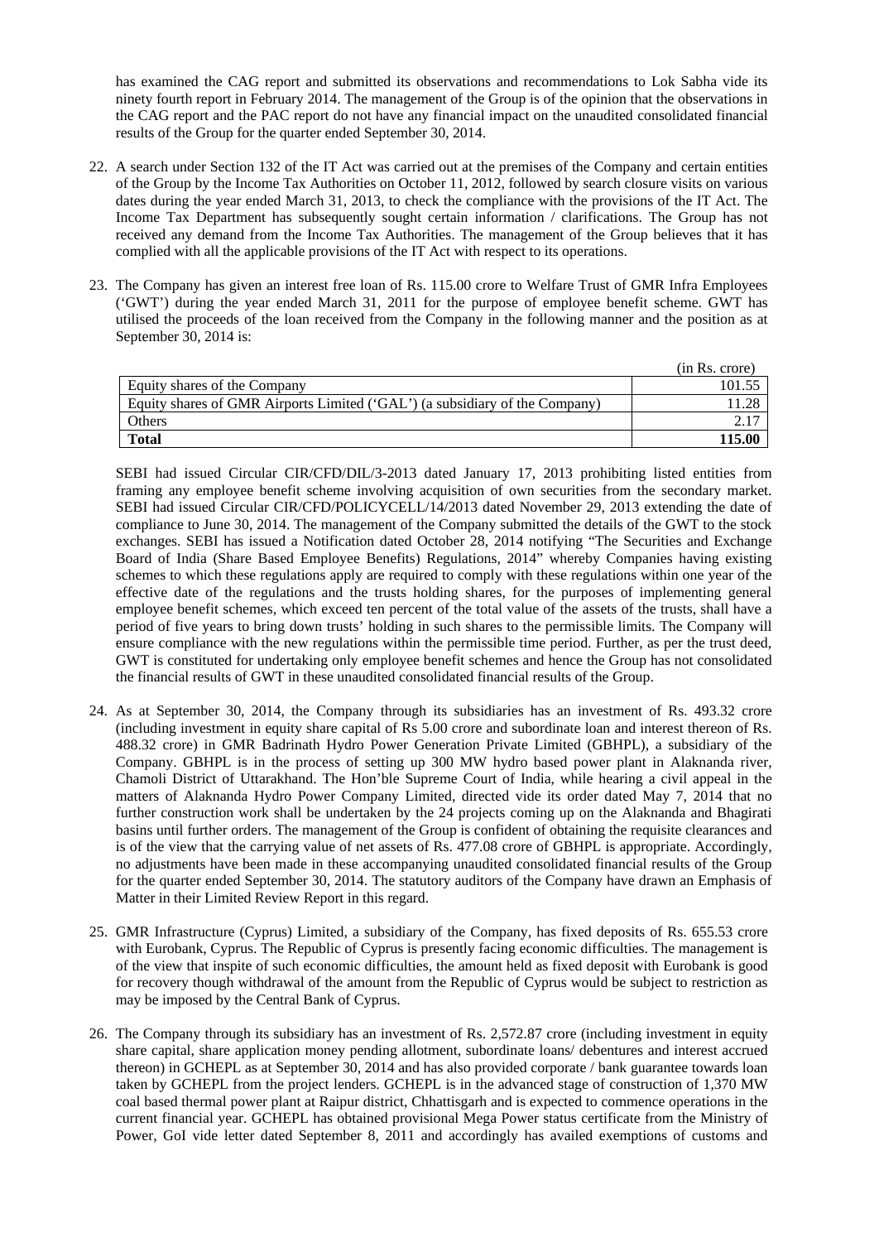has examined the CAG report and submitted its observations and recommendations to Lok Sabha vide its ninety fourth report in February 2014. The management of the Group is of the opinion that the observations in the CAG report and the PAC report do not have any financial impact on the unaudited consolidated financial results of the Group for the quarter ended September 30, 2014.

- 22. A search under Section 132 of the IT Act was carried out at the premises of the Company and certain entities of the Group by the Income Tax Authorities on October 11, 2012, followed by search closure visits on various dates during the year ended March 31, 2013, to check the compliance with the provisions of the IT Act. The Income Tax Department has subsequently sought certain information / clarifications. The Group has not received any demand from the Income Tax Authorities. The management of the Group believes that it has complied with all the applicable provisions of the IT Act with respect to its operations.
- 23. The Company has given an interest free loan of Rs. 115.00 crore to Welfare Trust of GMR Infra Employees ('GWT') during the year ended March 31, 2011 for the purpose of employee benefit scheme. GWT has utilised the proceeds of the loan received from the Company in the following manner and the position as at September 30, 2014 is:

|                                                                             | (in Rs. crore) |
|-----------------------------------------------------------------------------|----------------|
| Equity shares of the Company                                                | 101.55         |
| Equity shares of GMR Airports Limited ('GAL') (a subsidiary of the Company) |                |
| Others                                                                      |                |
| <b>Total</b>                                                                | 115 00         |

SEBI had issued Circular CIR/CFD/DIL/3-2013 dated January 17, 2013 prohibiting listed entities from framing any employee benefit scheme involving acquisition of own securities from the secondary market. SEBI had issued Circular CIR/CFD/POLICYCELL/14/2013 dated November 29, 2013 extending the date of compliance to June 30, 2014. The management of the Company submitted the details of the GWT to the stock exchanges. SEBI has issued a Notification dated October 28, 2014 notifying "The Securities and Exchange Board of India (Share Based Employee Benefits) Regulations, 2014" whereby Companies having existing schemes to which these regulations apply are required to comply with these regulations within one year of the effective date of the regulations and the trusts holding shares, for the purposes of implementing general employee benefit schemes, which exceed ten percent of the total value of the assets of the trusts, shall have a period of five years to bring down trusts' holding in such shares to the permissible limits. The Company will ensure compliance with the new regulations within the permissible time period. Further, as per the trust deed, GWT is constituted for undertaking only employee benefit schemes and hence the Group has not consolidated the financial results of GWT in these unaudited consolidated financial results of the Group.

- 24. As at September 30, 2014, the Company through its subsidiaries has an investment of Rs. 493.32 crore (including investment in equity share capital of Rs 5.00 crore and subordinate loan and interest thereon of Rs. 488.32 crore) in GMR Badrinath Hydro Power Generation Private Limited (GBHPL), a subsidiary of the Company. GBHPL is in the process of setting up 300 MW hydro based power plant in Alaknanda river, Chamoli District of Uttarakhand. The Hon'ble Supreme Court of India, while hearing a civil appeal in the matters of Alaknanda Hydro Power Company Limited, directed vide its order dated May 7, 2014 that no further construction work shall be undertaken by the 24 projects coming up on the Alaknanda and Bhagirati basins until further orders. The management of the Group is confident of obtaining the requisite clearances and is of the view that the carrying value of net assets of Rs. 477.08 crore of GBHPL is appropriate. Accordingly, no adjustments have been made in these accompanying unaudited consolidated financial results of the Group for the quarter ended September 30, 2014. The statutory auditors of the Company have drawn an Emphasis of Matter in their Limited Review Report in this regard.
- 25. GMR Infrastructure (Cyprus) Limited, a subsidiary of the Company, has fixed deposits of Rs. 655.53 crore with Eurobank, Cyprus. The Republic of Cyprus is presently facing economic difficulties. The management is of the view that inspite of such economic difficulties, the amount held as fixed deposit with Eurobank is good for recovery though withdrawal of the amount from the Republic of Cyprus would be subject to restriction as may be imposed by the Central Bank of Cyprus.
- 26. The Company through its subsidiary has an investment of Rs. 2,572.87 crore (including investment in equity share capital, share application money pending allotment, subordinate loans/ debentures and interest accrued thereon) in GCHEPL as at September 30, 2014 and has also provided corporate / bank guarantee towards loan taken by GCHEPL from the project lenders. GCHEPL is in the advanced stage of construction of 1,370 MW coal based thermal power plant at Raipur district, Chhattisgarh and is expected to commence operations in the current financial year. GCHEPL has obtained provisional Mega Power status certificate from the Ministry of Power, GoI vide letter dated September 8, 2011 and accordingly has availed exemptions of customs and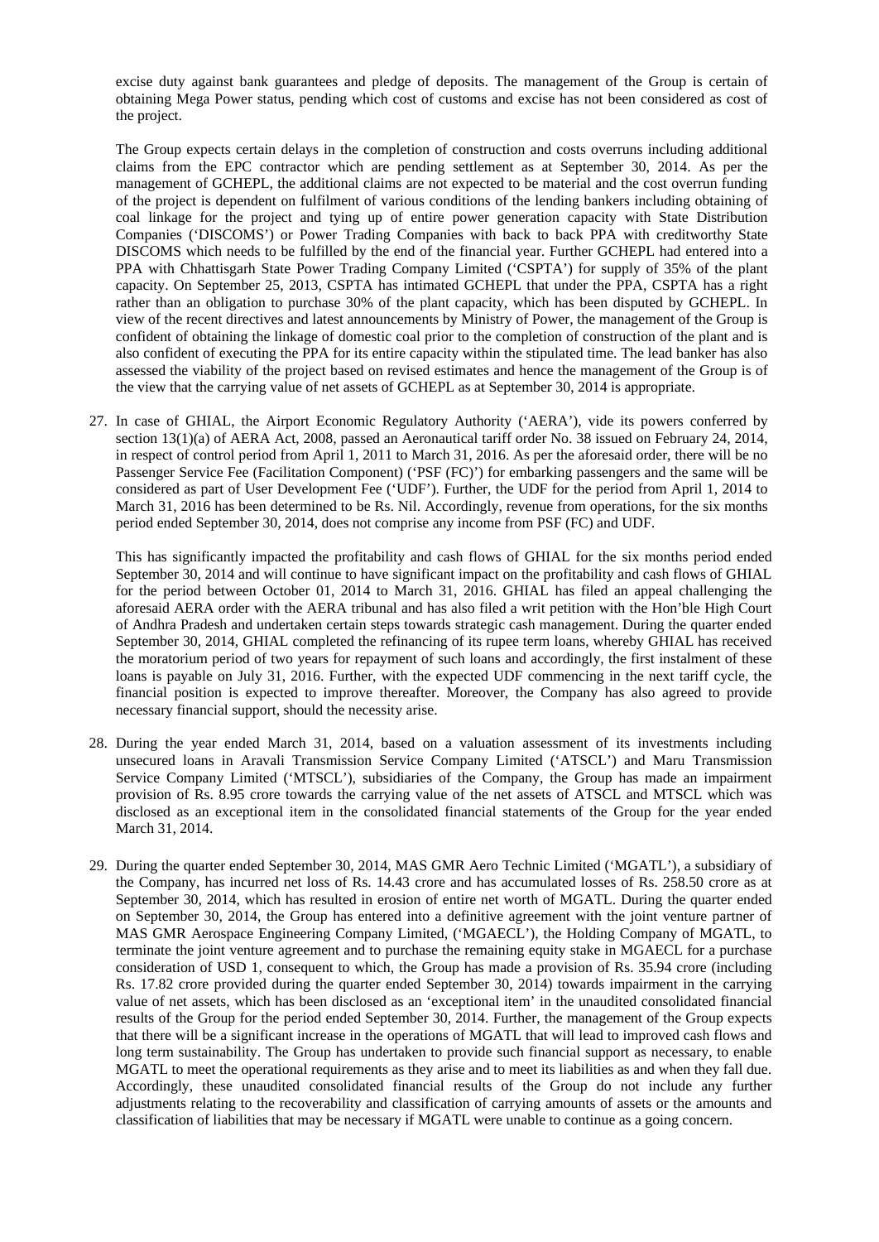excise duty against bank guarantees and pledge of deposits. The management of the Group is certain of obtaining Mega Power status, pending which cost of customs and excise has not been considered as cost of the project.

The Group expects certain delays in the completion of construction and costs overruns including additional claims from the EPC contractor which are pending settlement as at September 30, 2014. As per the management of GCHEPL, the additional claims are not expected to be material and the cost overrun funding of the project is dependent on fulfilment of various conditions of the lending bankers including obtaining of coal linkage for the project and tying up of entire power generation capacity with State Distribution Companies ('DISCOMS') or Power Trading Companies with back to back PPA with creditworthy State DISCOMS which needs to be fulfilled by the end of the financial year. Further GCHEPL had entered into a PPA with Chhattisgarh State Power Trading Company Limited ('CSPTA') for supply of 35% of the plant capacity. On September 25, 2013, CSPTA has intimated GCHEPL that under the PPA, CSPTA has a right rather than an obligation to purchase 30% of the plant capacity, which has been disputed by GCHEPL. In view of the recent directives and latest announcements by Ministry of Power, the management of the Group is confident of obtaining the linkage of domestic coal prior to the completion of construction of the plant and is also confident of executing the PPA for its entire capacity within the stipulated time. The lead banker has also assessed the viability of the project based on revised estimates and hence the management of the Group is of the view that the carrying value of net assets of GCHEPL as at September 30, 2014 is appropriate.

27. In case of GHIAL, the Airport Economic Regulatory Authority ('AERA'), vide its powers conferred by section 13(1)(a) of AERA Act, 2008, passed an Aeronautical tariff order No. 38 issued on February 24, 2014, in respect of control period from April 1, 2011 to March 31, 2016. As per the aforesaid order, there will be no Passenger Service Fee (Facilitation Component) ('PSF (FC)') for embarking passengers and the same will be considered as part of User Development Fee ('UDF'). Further, the UDF for the period from April 1, 2014 to March 31, 2016 has been determined to be Rs. Nil. Accordingly, revenue from operations, for the six months period ended September 30, 2014, does not comprise any income from PSF (FC) and UDF.

This has significantly impacted the profitability and cash flows of GHIAL for the six months period ended September 30, 2014 and will continue to have significant impact on the profitability and cash flows of GHIAL for the period between October 01, 2014 to March 31, 2016. GHIAL has filed an appeal challenging the aforesaid AERA order with the AERA tribunal and has also filed a writ petition with the Hon'ble High Court of Andhra Pradesh and undertaken certain steps towards strategic cash management. During the quarter ended September 30, 2014, GHIAL completed the refinancing of its rupee term loans, whereby GHIAL has received the moratorium period of two years for repayment of such loans and accordingly, the first instalment of these loans is payable on July 31, 2016. Further, with the expected UDF commencing in the next tariff cycle, the financial position is expected to improve thereafter. Moreover, the Company has also agreed to provide necessary financial support, should the necessity arise.

- 28. During the year ended March 31, 2014, based on a valuation assessment of its investments including unsecured loans in Aravali Transmission Service Company Limited ('ATSCL') and Maru Transmission Service Company Limited ('MTSCL'), subsidiaries of the Company, the Group has made an impairment provision of Rs. 8.95 crore towards the carrying value of the net assets of ATSCL and MTSCL which was disclosed as an exceptional item in the consolidated financial statements of the Group for the year ended March 31, 2014.
- 29. During the quarter ended September 30, 2014, MAS GMR Aero Technic Limited ('MGATL'), a subsidiary of the Company, has incurred net loss of Rs. 14.43 crore and has accumulated losses of Rs. 258.50 crore as at September 30, 2014, which has resulted in erosion of entire net worth of MGATL. During the quarter ended on September 30, 2014, the Group has entered into a definitive agreement with the joint venture partner of MAS GMR Aerospace Engineering Company Limited, ('MGAECL'), the Holding Company of MGATL, to terminate the joint venture agreement and to purchase the remaining equity stake in MGAECL for a purchase consideration of USD 1, consequent to which, the Group has made a provision of Rs. 35.94 crore (including Rs. 17.82 crore provided during the quarter ended September 30, 2014) towards impairment in the carrying value of net assets, which has been disclosed as an 'exceptional item' in the unaudited consolidated financial results of the Group for the period ended September 30, 2014. Further, the management of the Group expects that there will be a significant increase in the operations of MGATL that will lead to improved cash flows and long term sustainability. The Group has undertaken to provide such financial support as necessary, to enable MGATL to meet the operational requirements as they arise and to meet its liabilities as and when they fall due. Accordingly, these unaudited consolidated financial results of the Group do not include any further adjustments relating to the recoverability and classification of carrying amounts of assets or the amounts and classification of liabilities that may be necessary if MGATL were unable to continue as a going concern.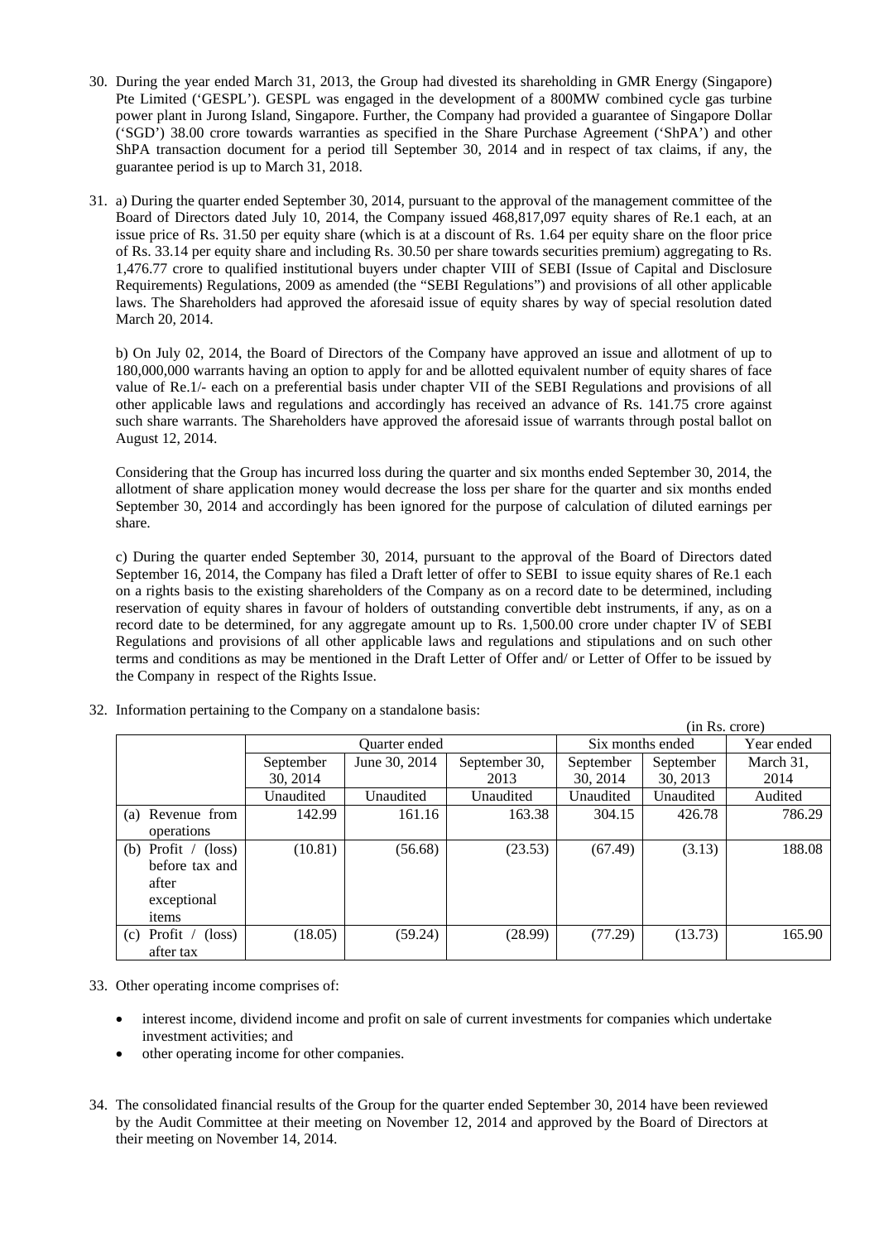- 30. During the year ended March 31, 2013, the Group had divested its shareholding in GMR Energy (Singapore) Pte Limited ('GESPL'). GESPL was engaged in the development of a 800MW combined cycle gas turbine power plant in Jurong Island, Singapore. Further, the Company had provided a guarantee of Singapore Dollar ('SGD') 38.00 crore towards warranties as specified in the Share Purchase Agreement ('ShPA') and other ShPA transaction document for a period till September 30, 2014 and in respect of tax claims, if any, the guarantee period is up to March 31, 2018.
- 31. a) During the quarter ended September 30, 2014, pursuant to the approval of the management committee of the Board of Directors dated July 10, 2014, the Company issued 468,817,097 equity shares of Re.1 each, at an issue price of Rs. 31.50 per equity share (which is at a discount of Rs. 1.64 per equity share on the floor price of Rs. 33.14 per equity share and including Rs. 30.50 per share towards securities premium) aggregating to Rs. 1,476.77 crore to qualified institutional buyers under chapter VIII of SEBI (Issue of Capital and Disclosure Requirements) Regulations, 2009 as amended (the "SEBI Regulations") and provisions of all other applicable laws. The Shareholders had approved the aforesaid issue of equity shares by way of special resolution dated March 20, 2014.

b) On July 02, 2014, the Board of Directors of the Company have approved an issue and allotment of up to 180,000,000 warrants having an option to apply for and be allotted equivalent number of equity shares of face value of Re.1/- each on a preferential basis under chapter VII of the SEBI Regulations and provisions of all other applicable laws and regulations and accordingly has received an advance of Rs. 141.75 crore against such share warrants. The Shareholders have approved the aforesaid issue of warrants through postal ballot on August 12, 2014.

Considering that the Group has incurred loss during the quarter and six months ended September 30, 2014, the allotment of share application money would decrease the loss per share for the quarter and six months ended September 30, 2014 and accordingly has been ignored for the purpose of calculation of diluted earnings per share.

c) During the quarter ended September 30, 2014, pursuant to the approval of the Board of Directors dated September 16, 2014, the Company has filed a Draft letter of offer to SEBI to issue equity shares of Re.1 each on a rights basis to the existing shareholders of the Company as on a record date to be determined, including reservation of equity shares in favour of holders of outstanding convertible debt instruments, if any, as on a record date to be determined, for any aggregate amount up to Rs. 1,500.00 crore under chapter IV of SEBI Regulations and provisions of all other applicable laws and regulations and stipulations and on such other terms and conditions as may be mentioned in the Draft Letter of Offer and/ or Letter of Offer to be issued by the Company in respect of the Rights Issue.

|                                   |                      |               |               |                  |           | (in Rs. crore) |
|-----------------------------------|----------------------|---------------|---------------|------------------|-----------|----------------|
|                                   | <b>Ouarter</b> ended |               |               | Six months ended |           | Year ended     |
|                                   | September            | June 30, 2014 | September 30, | September        | September | March 31,      |
|                                   | 30, 2014             |               | 2013          | 30, 2014         | 30, 2013  | 2014           |
|                                   | Unaudited            | Unaudited     | Unaudited     | Unaudited        | Unaudited | Audited        |
| Revenue from<br>(a)               | 142.99               | 161.16        | 163.38        | 304.15           | 426.78    | 786.29         |
| operations                        |                      |               |               |                  |           |                |
| (b) Profit / $(\text{loss})$      | (10.81)              | (56.68)       | (23.53)       | (67.49)          | (3.13)    | 188.08         |
| before tax and                    |                      |               |               |                  |           |                |
| after                             |                      |               |               |                  |           |                |
| exceptional                       |                      |               |               |                  |           |                |
| items                             |                      |               |               |                  |           |                |
| $(c)$ Profit /<br>$(\text{loss})$ | (18.05)              | (59.24)       | (28.99)       | (77.29)          | (13.73)   | 165.90         |
| after tax                         |                      |               |               |                  |           |                |

32. Information pertaining to the Company on a standalone basis:

33. Other operating income comprises of:

- interest income, dividend income and profit on sale of current investments for companies which undertake investment activities; and
- other operating income for other companies.
- 34. The consolidated financial results of the Group for the quarter ended September 30, 2014 have been reviewed by the Audit Committee at their meeting on November 12, 2014 and approved by the Board of Directors at their meeting on November 14, 2014.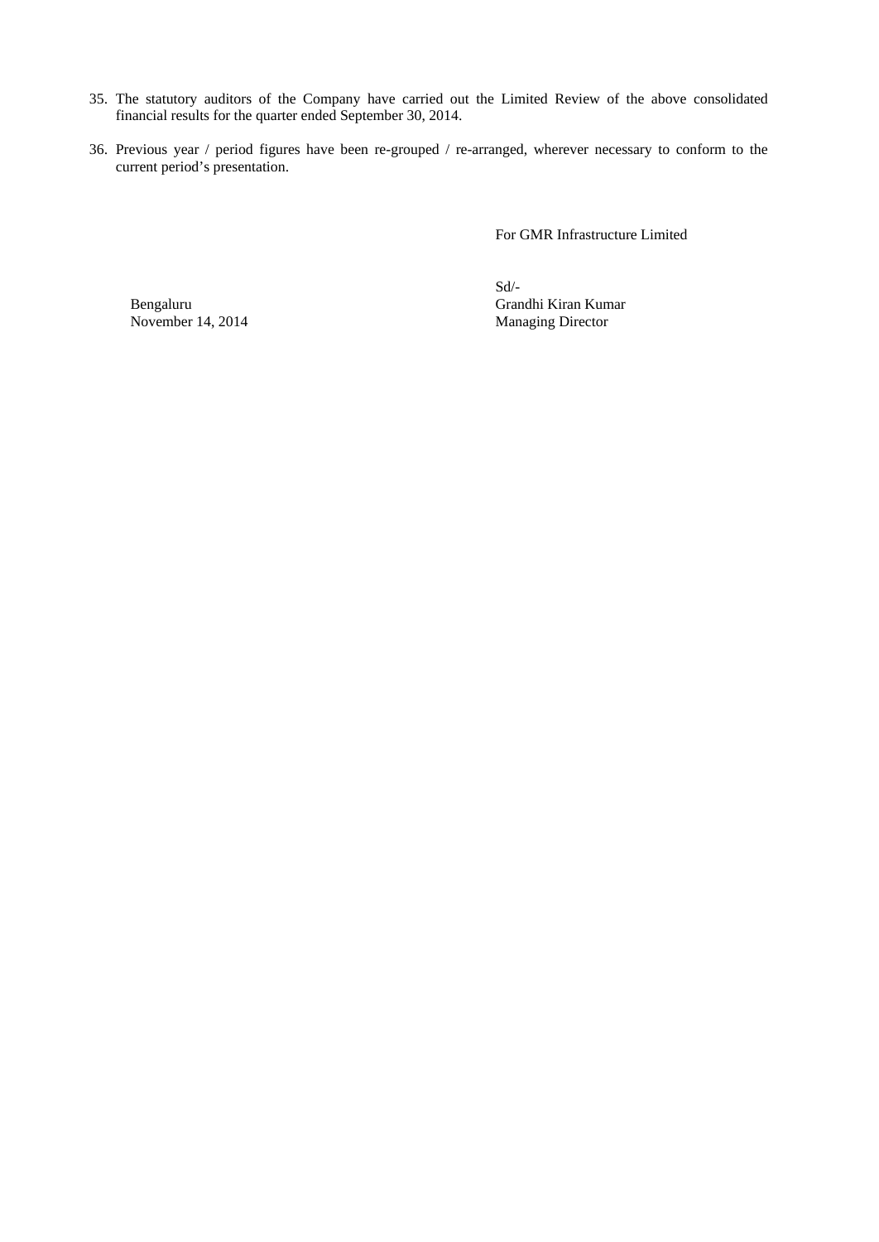- 35. The statutory auditors of the Company have carried out the Limited Review of the above consolidated financial results for the quarter ended September 30, 2014.
- 36. Previous year / period figures have been re-grouped / re-arranged, wherever necessary to conform to the current period's presentation.

For GMR Infrastructure Limited

November 14, 2014

Sd/- Bengaluru Grandhi Kiran Kumar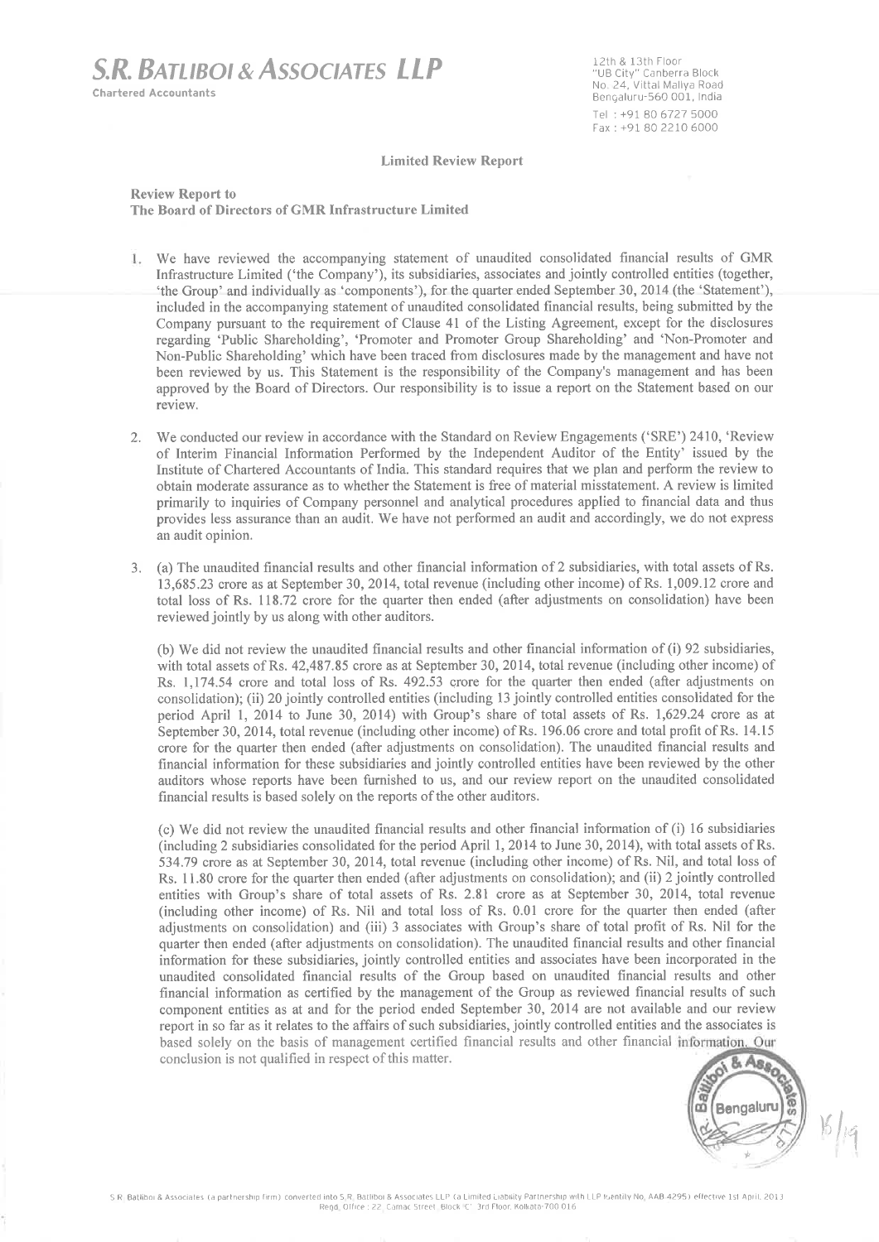**S.R. BATLIBOL& ASSOCIATES LLP Chartered Accountants** 

12th & 13th Floor "UB City" Canberra Block<br>No. 24, Vittal Mallya Road Bengaluru-560 001, India Tel: +91 80 6727 5000 Fax: +91 80 2210 6000

**Limited Review Report** 

**Review Report to** The Board of Directors of GMR Infrastructure Limited

- 1. We have reviewed the accompanying statement of unaudited consolidated financial results of GMR Infrastructure Limited ('the Company'), its subsidiaries, associates and jointly controlled entities (together, 'the Group' and individually as 'components'), for the quarter ended September 30, 2014 (the 'Statement'), included in the accompanying statement of unaudited consolidated financial results, being submitted by the Company pursuant to the requirement of Clause 41 of the Listing Agreement, except for the disclosures regarding 'Public Shareholding', 'Promoter and Promoter Group Shareholding' and 'Non-Promoter and Non-Public Shareholding' which have been traced from disclosures made by the management and have not been reviewed by us. This Statement is the responsibility of the Company's management and has been approved by the Board of Directors. Our responsibility is to issue a report on the Statement based on our review.
- 2. We conducted our review in accordance with the Standard on Review Engagements ('SRE') 2410, 'Review of Interim Financial Information Performed by the Independent Auditor of the Entity' issued by the Institute of Chartered Accountants of India. This standard requires that we plan and perform the review to obtain moderate assurance as to whether the Statement is free of material misstatement. A review is limited primarily to inquiries of Company personnel and analytical procedures applied to financial data and thus provides less assurance than an audit. We have not performed an audit and accordingly, we do not express an audit opinion.
- 3. (a) The unaudited financial results and other financial information of 2 subsidiaries, with total assets of Rs. 13,685.23 crore as at September 30, 2014, total revenue (including other income) of Rs. 1,009.12 crore and total loss of Rs. 118.72 crore for the quarter then ended (after adjustments on consolidation) have been reviewed jointly by us along with other auditors.

(b) We did not review the unaudited financial results and other financial information of (i) 92 subsidiaries, with total assets of Rs. 42,487.85 crore as at September 30, 2014, total revenue (including other income) of Rs. 1,174.54 crore and total loss of Rs. 492.53 crore for the quarter then ended (after adjustments on consolidation); (ii) 20 jointly controlled entities (including 13 jointly controlled entities consolidated for the period April 1, 2014 to June 30, 2014) with Group's share of total assets of Rs. 1,629.24 crore as at September 30, 2014, total revenue (including other income) of Rs. 196.06 crore and total profit of Rs. 14.15 crore for the quarter then ended (after adjustments on consolidation). The unaudited financial results and financial information for these subsidiaries and jointly controlled entities have been reviewed by the other auditors whose reports have been furnished to us, and our review report on the unaudited consolidated financial results is based solely on the reports of the other auditors.

(c) We did not review the unaudited financial results and other financial information of (i) 16 subsidiaries (including 2 subsidiaries consolidated for the period April 1, 2014 to June 30, 2014), with total assets of Rs. 534.79 crore as at September 30, 2014, total revenue (including other income) of Rs. Nil, and total loss of Rs. 11.80 crore for the quarter then ended (after adjustments on consolidation); and (ii) 2 jointly controlled entities with Group's share of total assets of Rs. 2.81 crore as at September 30, 2014, total revenue (including other income) of Rs. Nil and total loss of Rs. 0.01 crore for the quarter then ended (after adjustments on consolidation) and (iii) 3 associates with Group's share of total profit of Rs. Nil for the quarter then ended (after adjustments on consolidation). The unaudited financial results and other financial information for these subsidiaries, jointly controlled entities and associates have been incorporated in the unaudited consolidated financial results of the Group based on unaudited financial results and other financial information as certified by the management of the Group as reviewed financial results of such component entities as at and for the period ended September 30, 2014 are not available and our review report in so far as it relates to the affairs of such subsidiaries, jointly controlled entities and the associates is based solely on the basis of management certified financial results and other financial information. Our conclusion is not qualified in respect of this matter.

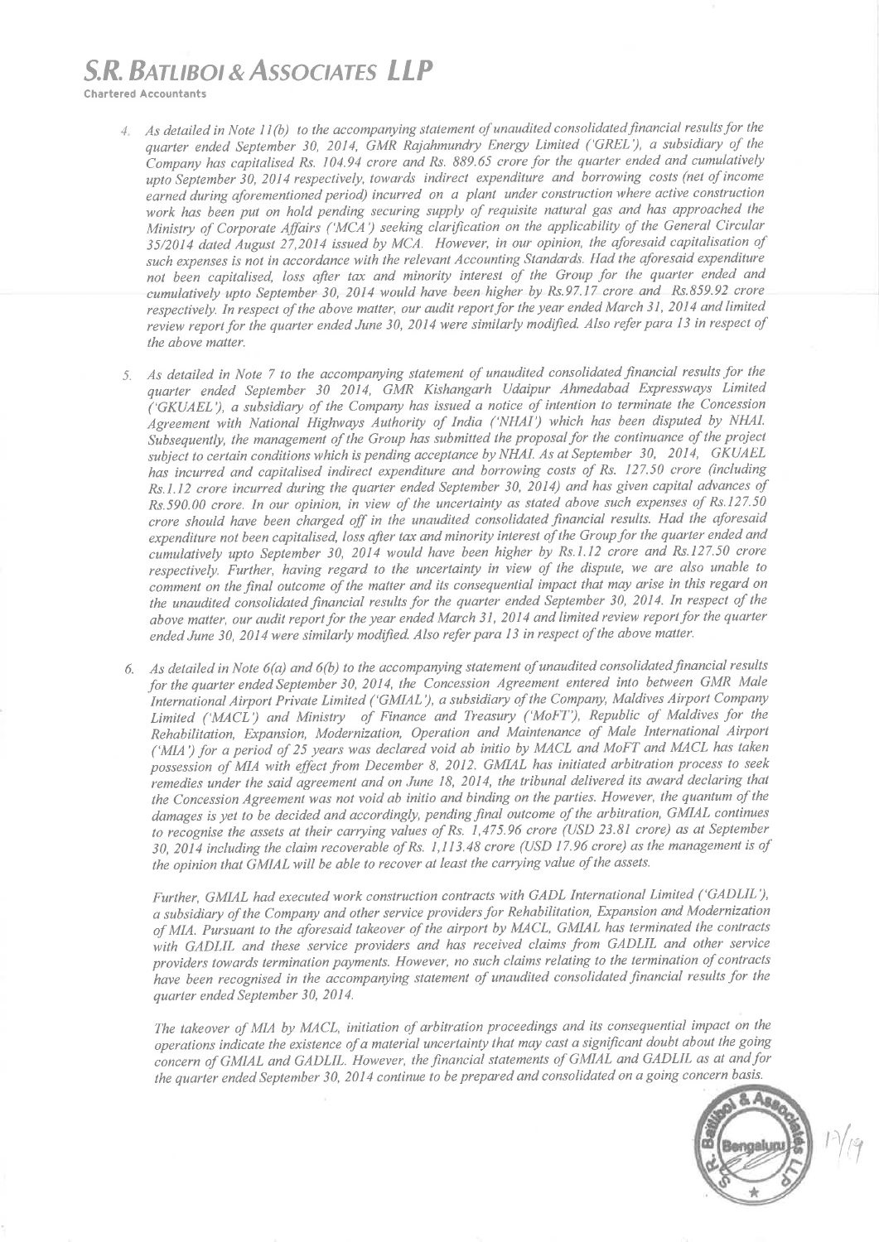## **S.R. BATLIBOL& ASSOCIATES LLP**

**Chartered Accountants** 

- 4 As detailed in Note 11(b) to the accompanying statement of unaudited consolidated financial results for the quarter ended September 30, 2014, GMR Rajahmundry Energy Limited ('GREL'), a subsidiary of the Company has capitalised Rs. 104.94 crore and Rs. 889.65 crore for the quarter ended and cumulatively upto September 30, 2014 respectively, towards indirect expenditure and borrowing costs (net of income earned during aforementioned period) incurred on a plant under construction where active construction work has been put on hold pending securing supply of requisite natural gas and has approached the Ministry of Corporate Affairs ('MCA') seeking clarification on the applicability of the General Circular 35/2014 dated August 27,2014 issued by MCA. However, in our opinion, the aforesaid capitalisation of such expenses is not in accordance with the relevant Accounting Standards. Had the aforesaid expenditure not been capitalised, loss after tax and minority interest of the Group for the quarter ended and cumulatively upto September 30, 2014 would have been higher by Rs.97.17 crore and Rs.859.92 crore respectively. In respect of the above matter, our audit report for the year ended March 31, 2014 and limited review report for the quarter ended June 30, 2014 were similarly modified. Also refer para 13 in respect of the above matter.
- 5. As detailed in Note 7 to the accompanying statement of unaudited consolidated financial results for the quarter ended September 30 2014, GMR Kishangarh Udaipur Ahmedabad Expressways Limited ('GKUAEL'), a subsidiary of the Company has issued a notice of intention to terminate the Concession Agreement with National Highways Authority of India ('NHAI') which has been disputed by NHAI. Subsequently, the management of the Group has submitted the proposal for the continuance of the project subject to certain conditions which is pending acceptance by NHAI. As at September 30, 2014, GKUAEL has incurred and capitalised indirect expenditure and borrowing costs of Rs. 127.50 crore (including Rs.1.12 crore incurred during the quarter ended September 30, 2014) and has given capital advances of  $R_s$ , 590,00 crore. In our opinion, in view of the uncertainty as stated above such expenses of  $Rs.127.50$ crore should have been charged off in the unaudited consolidated financial results. Had the aforesaid expenditure not been capitalised, loss after tax and minority interest of the Group for the quarter ended and cumulatively upto September 30, 2014 would have been higher by Rs.1.12 crore and Rs.127.50 crore respectively. Further, having regard to the uncertainty in view of the dispute, we are also unable to comment on the final outcome of the matter and its consequential impact that may arise in this regard on the unaudited consolidated financial results for the quarter ended September 30, 2014. In respect of the above matter, our audit report for the year ended March 31, 2014 and limited review report for the quarter ended June 30, 2014 were similarly modified. Also refer para 13 in respect of the above matter.
- 6. As detailed in Note  $6(a)$  and  $6(b)$  to the accompanying statement of unaudited consolidated financial results for the quarter ended September 30, 2014, the Concession Agreement entered into between GMR Male International Airport Private Limited ('GMIAL'), a subsidiary of the Company, Maldives Airport Company Limited ('MACL') and Ministry of Finance and Treasury ('MoFT'), Republic of Maldives for the Rehabilitation, Expansion, Modernization, Operation and Maintenance of Male International Airport ('MIA') for a period of 25 years was declared void ab initio by MACL and MoFT and MACL has taken possession of MIA with effect from December 8, 2012. GMIAL has initiated arbitration process to seek remedies under the said agreement and on June 18, 2014, the tribunal delivered its award declaring that the Concession Agreement was not void ab initio and binding on the parties. However, the quantum of the damages is yet to be decided and accordingly, pending final outcome of the arbitration, GMIAL continues to recognise the assets at their carrying values of Rs. 1,475.96 crore (USD 23.81 crore) as at September 30, 2014 including the claim recoverable of Rs. 1,113.48 crore (USD 17.96 crore) as the management is of the opinion that GMIAL will be able to recover at least the carrying value of the assets.

Further, GMIAL had executed work construction contracts with GADL International Limited ('GADLIL'), a subsidiary of the Company and other service providers for Rehabilitation, Expansion and Modernization of MIA. Pursuant to the aforesaid takeover of the airport by MACL, GMIAL has terminated the contracts with GADLIL and these service providers and has received claims from GADLIL and other service providers towards termination payments. However, no such claims relating to the termination of contracts have been recognised in the accompanying statement of unaudited consolidated financial results for the quarter ended September 30, 2014.

The takeover of MIA by MACL, initiation of arbitration proceedings and its consequential impact on the operations indicate the existence of a material uncertainty that may cast a significant doubt about the going concern of GMIAL and GADLIL. However, the financial statements of GMIAL and GADLIL as at and for the quarter ended September 30, 2014 continue to be prepared and consolidated on a going concern basis.

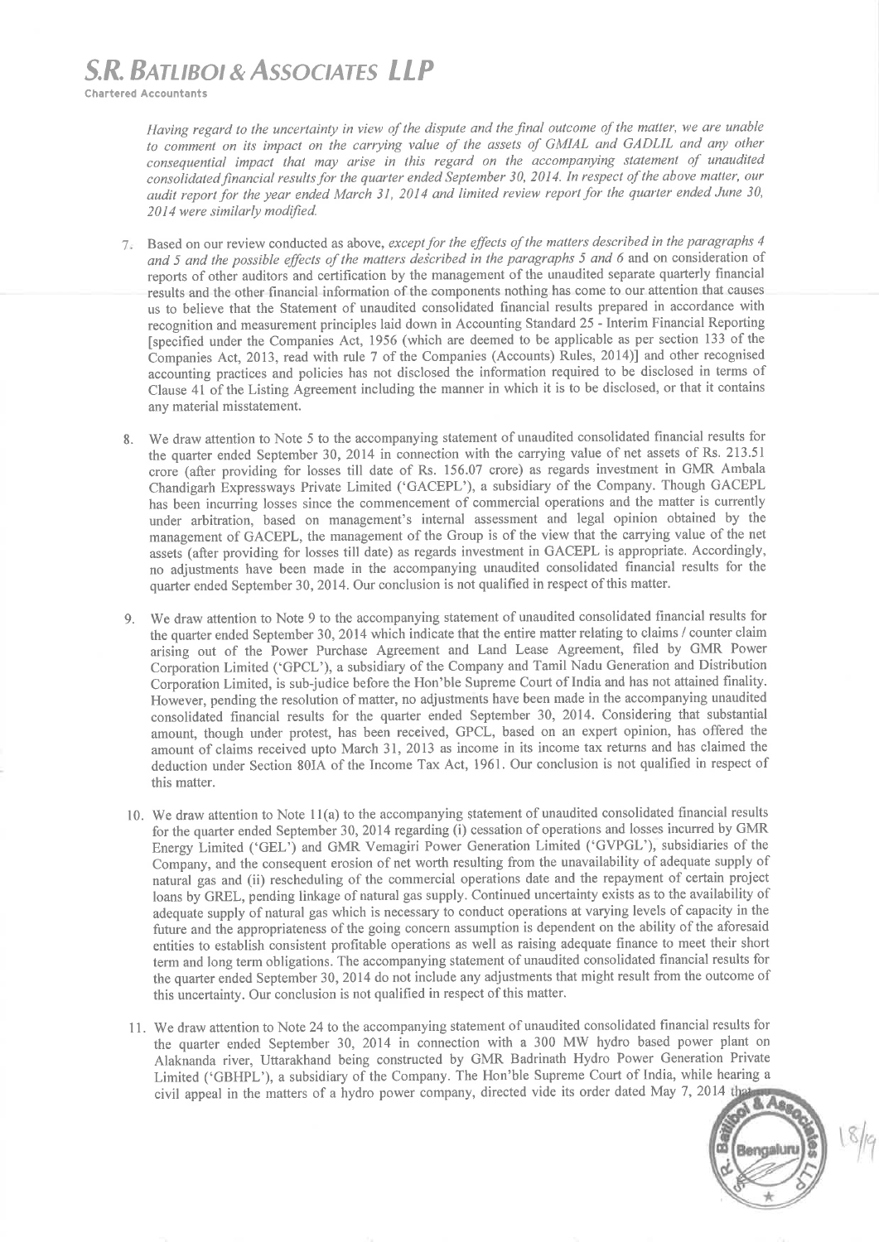# **S.R. BATLIBOI & ASSOCIATES LLP**

**Chartered Accountants** 

Having regard to the uncertainty in view of the dispute and the final outcome of the matter, we are unable to comment on its impact on the carrying value of the assets of GMIAL and GADLIL and any other consequential impact that may arise in this regard on the accompanying statement of unaudited consolidated financial results for the quarter ended September 30, 2014. In respect of the above matter, our audit report for the vear ended March 31, 2014 and limited review report for the quarter ended June 30, 2014 were similarly modified.

- Based on our review conducted as above, except for the effects of the matters described in the paragraphs 4  $7$ and 5 and the possible effects of the matters described in the paragraphs 5 and 6 and on consideration of reports of other auditors and certification by the management of the unaudited separate quarterly financial results and the other financial information of the components nothing has come to our attention that causes us to believe that the Statement of unaudited consolidated financial results prepared in accordance with recognition and measurement principles laid down in Accounting Standard 25 - Interim Financial Reporting [specified under the Companies Act, 1956 (which are deemed to be applicable as per section 133 of the Companies Act, 2013, read with rule 7 of the Companies (Accounts) Rules, 2014)] and other recognised accounting practices and policies has not disclosed the information required to be disclosed in terms of Clause 41 of the Listing Agreement including the manner in which it is to be disclosed, or that it contains any material misstatement.
- We draw attention to Note 5 to the accompanying statement of unaudited consolidated financial results for  $\mathbf{R}$ the quarter ended September 30, 2014 in connection with the carrying value of net assets of Rs. 213.51 crore (after providing for losses till date of Rs. 156.07 crore) as regards investment in GMR Ambala Chandigarh Expressways Private Limited ('GACEPL'), a subsidiary of the Company. Though GACEPL has been incurring losses since the commencement of commercial operations and the matter is currently under arbitration, based on management's internal assessment and legal opinion obtained by the management of GACEPL, the management of the Group is of the view that the carrying value of the net assets (after providing for losses till date) as regards investment in GACEPL is appropriate. Accordingly, no adjustments have been made in the accompanying unaudited consolidated financial results for the quarter ended September 30, 2014. Our conclusion is not qualified in respect of this matter.
- We draw attention to Note 9 to the accompanying statement of unaudited consolidated financial results for  $Q$ the quarter ended September 30, 2014 which indicate that the entire matter relating to claims / counter claim arising out of the Power Purchase Agreement and Land Lease Agreement, filed by GMR Power Corporation Limited ('GPCL'), a subsidiary of the Company and Tamil Nadu Generation and Distribution Corporation Limited, is sub-judice before the Hon'ble Supreme Court of India and has not attained finality. However, pending the resolution of matter, no adjustments have been made in the accompanying unaudited consolidated financial results for the quarter ended September 30, 2014. Considering that substantial amount, though under protest, has been received, GPCL, based on an expert opinion, has offered the amount of claims received upto March 31, 2013 as income in its income tax returns and has claimed the deduction under Section 80IA of the Income Tax Act, 1961. Our conclusion is not qualified in respect of this matter.
- 10. We draw attention to Note 11(a) to the accompanying statement of unaudited consolidated financial results for the quarter ended September 30, 2014 regarding (i) cessation of operations and losses incurred by GMR Energy Limited ('GEL') and GMR Vemagiri Power Generation Limited ('GVPGL'), subsidiaries of the Company, and the consequent erosion of net worth resulting from the unavailability of adequate supply of natural gas and (ii) rescheduling of the commercial operations date and the repayment of certain project loans by GREL, pending linkage of natural gas supply. Continued uncertainty exists as to the availability of adequate supply of natural gas which is necessary to conduct operations at varying levels of capacity in the future and the appropriateness of the going concern assumption is dependent on the ability of the aforesaid entities to establish consistent profitable operations as well as raising adequate finance to meet their short term and long term obligations. The accompanying statement of unaudited consolidated financial results for the quarter ended September 30, 2014 do not include any adjustments that might result from the outcome of this uncertainty. Our conclusion is not qualified in respect of this matter.
- 11. We draw attention to Note 24 to the accompanying statement of unaudited consolidated financial results for the quarter ended September 30, 2014 in connection with a 300 MW hydro based power plant on Alaknanda river, Uttarakhand being constructed by GMR Badrinath Hydro Power Generation Private Limited ('GBHPL'), a subsidiary of the Company. The Hon'ble Supreme Court of India, while hearing a civil appeal in the matters of a hydro power company, directed vide its order dated May 7, 2014 that